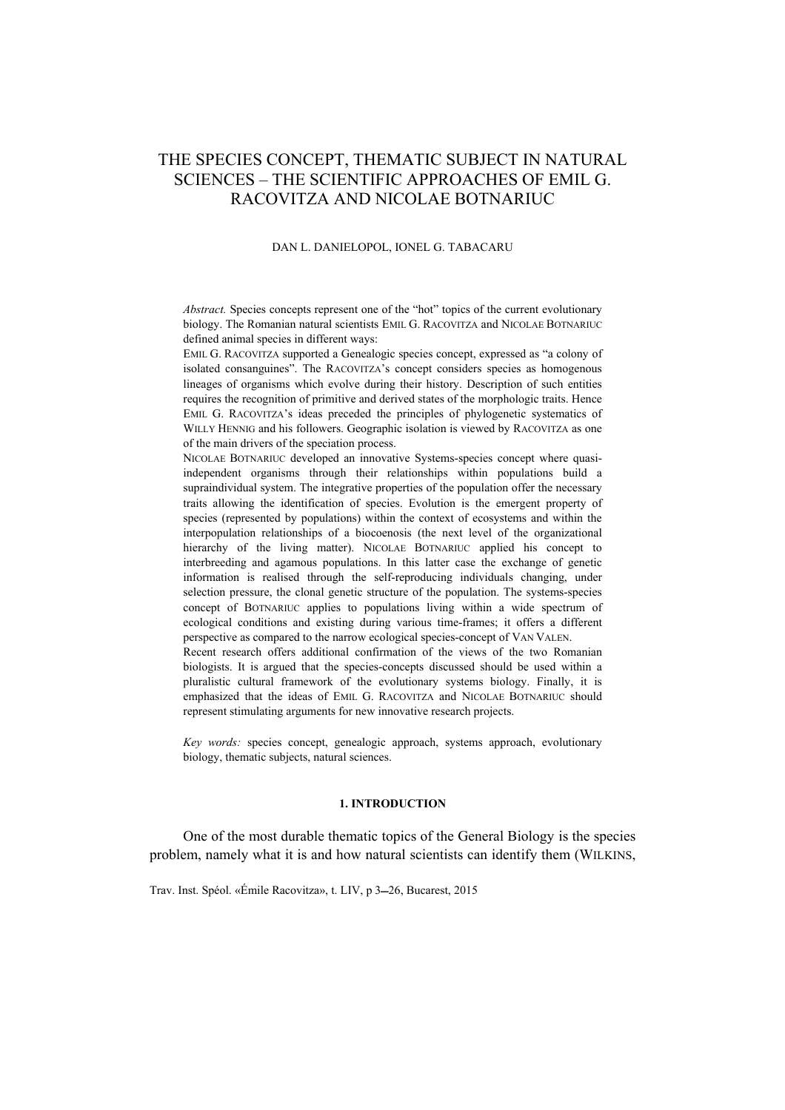# THE SPECIES CONCEPT, THEMATIC SUBJECT IN NATURAL SCIENCES – THE SCIENTIFIC APPROACHES OF EMIL G. RACOVITZA AND NICOLAE BOTNARIUC

#### DAN L. DANIELOPOL, IONEL G. TABACARU

*Abstract.* Species concepts represent one of the "hot" topics of the current evolutionary biology. The Romanian natural scientists EMIL G. RACOVITZA and NICOLAE BOTNARIUC defined animal species in different ways:

EMIL G. RACOVITZA supported a Genealogic species concept, expressed as "a colony of isolated consanguines". The RACOVITZA's concept considers species as homogenous lineages of organisms which evolve during their history. Description of such entities requires the recognition of primitive and derived states of the morphologic traits. Hence EMIL G. RACOVITZA's ideas preceded the principles of phylogenetic systematics of WILLY HENNIG and his followers. Geographic isolation is viewed by RACOVITZA as one of the main drivers of the speciation process.

NICOLAE BOTNARIUC developed an innovative Systems-species concept where quasiindependent organisms through their relationships within populations build a supraindividual system. The integrative properties of the population offer the necessary traits allowing the identification of species. Evolution is the emergent property of species (represented by populations) within the context of ecosystems and within the interpopulation relationships of a biocoenosis (the next level of the organizational hierarchy of the living matter). NICOLAE BOTNARIUC applied his concept to interbreeding and agamous populations. In this latter case the exchange of genetic information is realised through the self-reproducing individuals changing, under selection pressure, the clonal genetic structure of the population. The systems-species concept of BOTNARIUC applies to populations living within a wide spectrum of ecological conditions and existing during various time-frames; it offers a different perspective as compared to the narrow ecological species-concept of VAN VALEN.

Recent research offers additional confirmation of the views of the two Romanian biologists. It is argued that the species-concepts discussed should be used within a pluralistic cultural framework of the evolutionary systems biology. Finally, it is emphasized that the ideas of EMIL G. RACOVITZA and NICOLAE BOTNARIUC should represent stimulating arguments for new innovative research projects.

*Key words:* species concept, genealogic approach, systems approach, evolutionary biology, thematic subjects, natural sciences.

## **1. INTRODUCTION**

One of the most durable thematic topics of the General Biology is the species problem, namely what it is and how natural scientists can identify them (WILKINS,

Trav. Inst. Spéol. «Émile Racovitza», t. LIV, p 3-26, Bucarest, 2015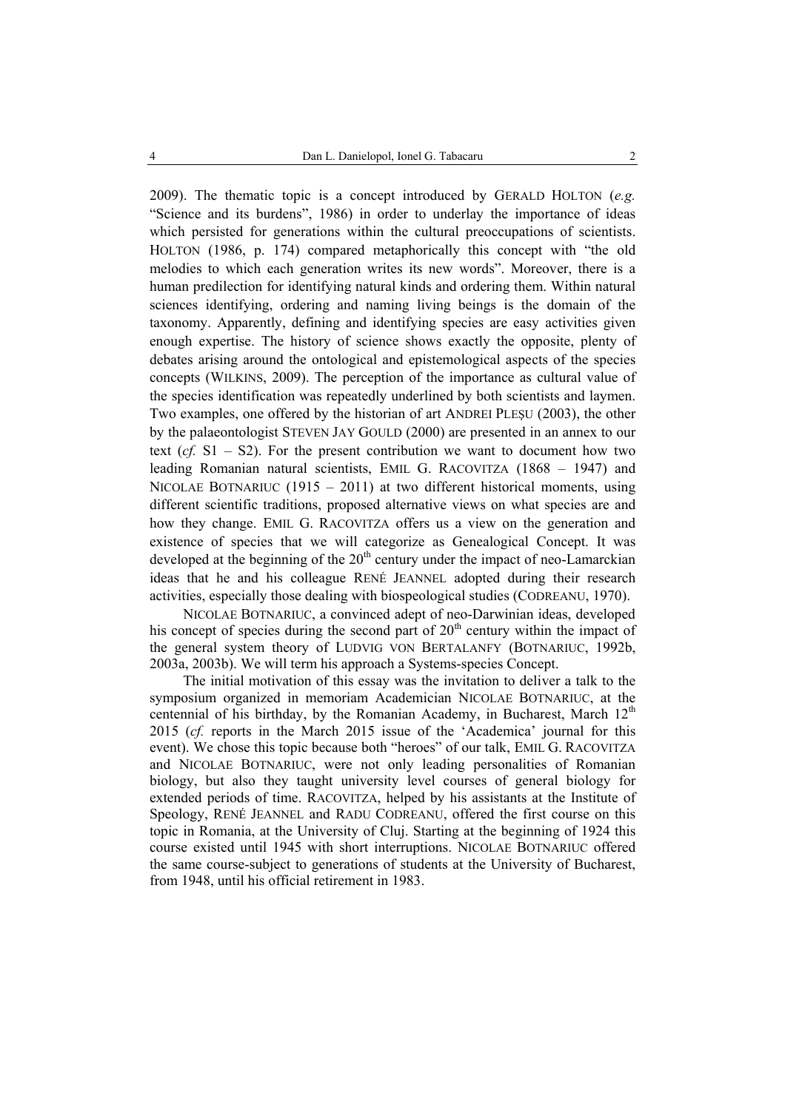2009). The thematic topic is a concept introduced by GERALD HOLTON (*e.g.* "Science and its burdens", 1986) in order to underlay the importance of ideas which persisted for generations within the cultural preoccupations of scientists. HOLTON (1986, p. 174) compared metaphorically this concept with "the old melodies to which each generation writes its new words". Moreover, there is a human predilection for identifying natural kinds and ordering them. Within natural sciences identifying, ordering and naming living beings is the domain of the taxonomy. Apparently, defining and identifying species are easy activities given enough expertise. The history of science shows exactly the opposite, plenty of debates arising around the ontological and epistemological aspects of the species concepts (WILKINS, 2009). The perception of the importance as cultural value of the species identification was repeatedly underlined by both scientists and laymen. Two examples, one offered by the historian of art ANDREI PLEŞU (2003), the other by the palaeontologist STEVEN JAY GOULD (2000) are presented in an annex to our text  $(cf. S1 - S2)$ . For the present contribution we want to document how two leading Romanian natural scientists, EMIL G. RACOVITZA (1868 – 1947) and NICOLAE BOTNARIUC (1915 – 2011) at two different historical moments, using different scientific traditions, proposed alternative views on what species are and how they change. EMIL G. RACOVITZA offers us a view on the generation and existence of species that we will categorize as Genealogical Concept. It was developed at the beginning of the  $20<sup>th</sup>$  century under the impact of neo-Lamarckian ideas that he and his colleague RENÉ JEANNEL adopted during their research activities, especially those dealing with biospeological studies (CODREANU, 1970).

NICOLAE BOTNARIUC, a convinced adept of neo-Darwinian ideas, developed his concept of species during the second part of  $20<sup>th</sup>$  century within the impact of the general system theory of LUDVIG VON BERTALANFY (BOTNARIUC, 1992b, 2003a, 2003b). We will term his approach a Systems-species Concept.

The initial motivation of this essay was the invitation to deliver a talk to the symposium organized in memoriam Academician NICOLAE BOTNARIUC, at the centennial of his birthday, by the Romanian Academy, in Bucharest, March  $12<sup>th</sup>$ 2015 (*cf.* reports in the March 2015 issue of the 'Academica' journal for this event). We chose this topic because both "heroes" of our talk, EMIL G. RACOVITZA and NICOLAE BOTNARIUC, were not only leading personalities of Romanian biology, but also they taught university level courses of general biology for extended periods of time. RACOVITZA, helped by his assistants at the Institute of Speology, RENÉ JEANNEL and RADU CODREANU, offered the first course on this topic in Romania, at the University of Cluj. Starting at the beginning of 1924 this course existed until 1945 with short interruptions. NICOLAE BOTNARIUC offered the same course-subject to generations of students at the University of Bucharest, from 1948, until his official retirement in 1983.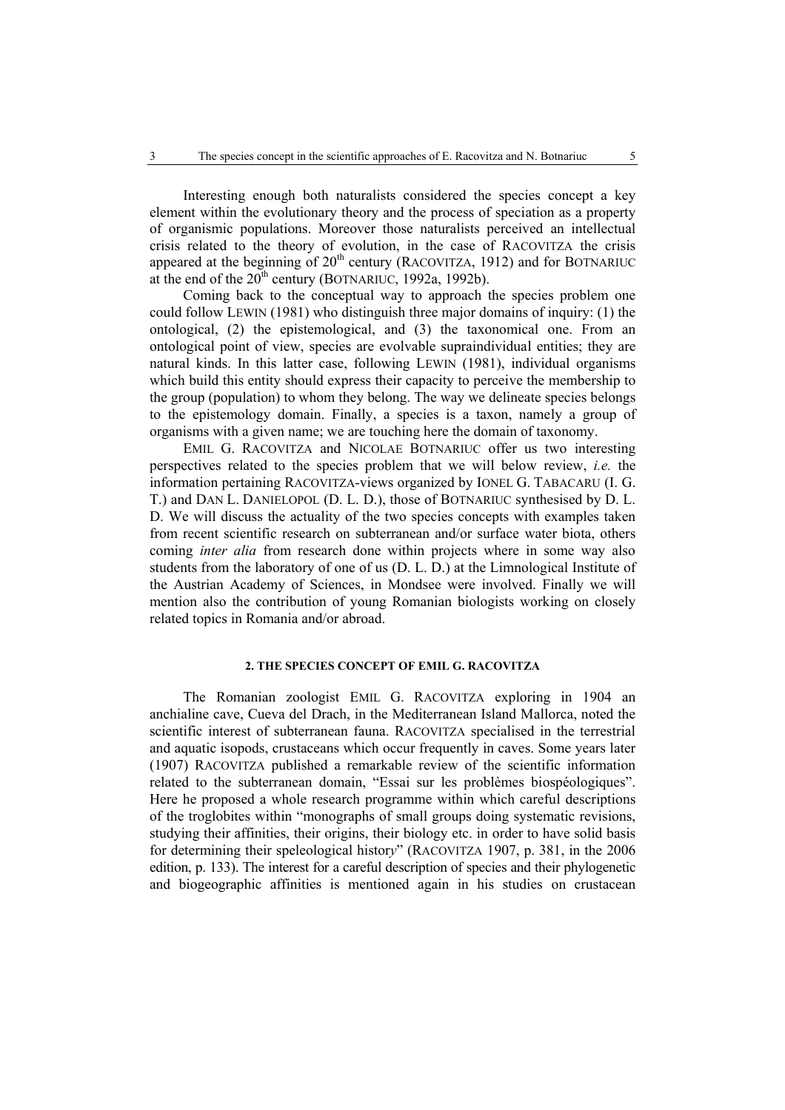Interesting enough both naturalists considered the species concept a key element within the evolutionary theory and the process of speciation as a property of organismic populations. Moreover those naturalists perceived an intellectual crisis related to the theory of evolution, in the case of RACOVITZA the crisis appeared at the beginning of  $20<sup>th</sup>$  century (RACOVITZA, 1912) and for BOTNARIUC at the end of the  $20^{th}$  century (BOTNARIUC, 1992a, 1992b).

Coming back to the conceptual way to approach the species problem one could follow LEWIN (1981) who distinguish three major domains of inquiry: (1) the ontological, (2) the epistemological, and (3) the taxonomical one. From an ontological point of view, species are evolvable supraindividual entities; they are natural kinds. In this latter case, following LEWIN (1981), individual organisms which build this entity should express their capacity to perceive the membership to the group (population) to whom they belong. The way we delineate species belongs to the epistemology domain. Finally, a species is a taxon, namely a group of organisms with a given name; we are touching here the domain of taxonomy.

EMIL G. RACOVITZA and NICOLAE BOTNARIUC offer us two interesting perspectives related to the species problem that we will below review, *i.e.* the information pertaining RACOVITZA-views organized by IONEL G. TABACARU (I. G. T.) and DAN L. DANIELOPOL (D. L. D.), those of BOTNARIUC synthesised by D. L. D. We will discuss the actuality of the two species concepts with examples taken from recent scientific research on subterranean and/or surface water biota, others coming *inter alia* from research done within projects where in some way also students from the laboratory of one of us (D. L. D.) at the Limnological Institute of the Austrian Academy of Sciences, in Mondsee were involved. Finally we will mention also the contribution of young Romanian biologists working on closely related topics in Romania and/or abroad.

#### **2. THE SPECIES CONCEPT OF EMIL G. RACOVITZA**

The Romanian zoologist EMIL G. RACOVITZA exploring in 1904 an anchialine cave, Cueva del Drach, in the Mediterranean Island Mallorca, noted the scientific interest of subterranean fauna. RACOVITZA specialised in the terrestrial and aquatic isopods, crustaceans which occur frequently in caves. Some years later (1907) RACOVITZA published a remarkable review of the scientific information related to the subterranean domain, "Essai sur les problèmes biospéologiques". Here he proposed a whole research programme within which careful descriptions of the troglobites within "monographs of small groups doing systematic revisions, studying their affinities, their origins, their biology etc. in order to have solid basis for determining their speleological histor*y*" (RACOVITZA 1907, p. 381, in the 2006 edition, p. 133). The interest for a careful description of species and their phylogenetic and biogeographic affinities is mentioned again in his studies on crustacean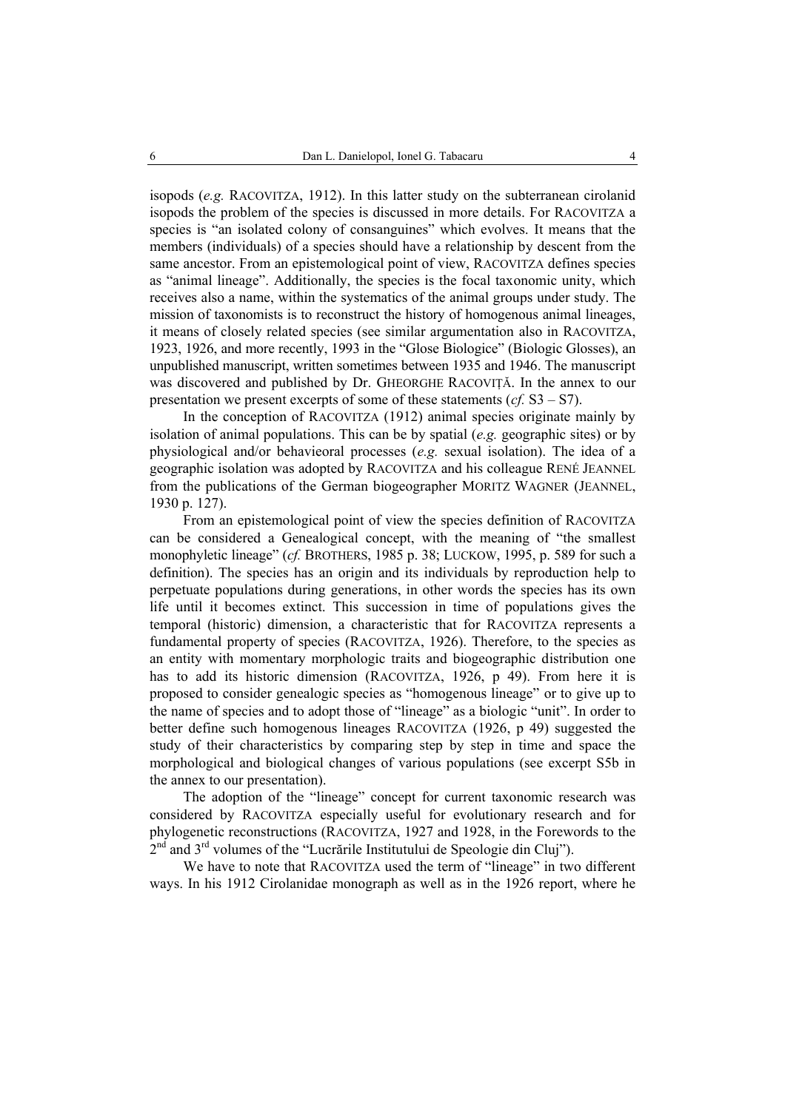isopods (*e.g.* RACOVITZA, 1912). In this latter study on the subterranean cirolanid isopods the problem of the species is discussed in more details. For RACOVITZA a species is "an isolated colony of consanguines" which evolves. It means that the members (individuals) of a species should have a relationship by descent from the same ancestor. From an epistemological point of view, RACOVITZA defines species as "animal lineage". Additionally, the species is the focal taxonomic unity, which receives also a name, within the systematics of the animal groups under study. The mission of taxonomists is to reconstruct the history of homogenous animal lineages, it means of closely related species (see similar argumentation also in RACOVITZA, 1923, 1926, and more recently, 1993 in the "Glose Biologice" (Biologic Glosses), an unpublished manuscript, written sometimes between 1935 and 1946. The manuscript was discovered and published by Dr. GHEORGHE RACOVITĂ. In the annex to our presentation we present excerpts of some of these statements (*cf.* S3 – S7).

In the conception of RACOVITZA (1912) animal species originate mainly by isolation of animal populations. This can be by spatial (*e.g.* geographic sites) or by physiological and/or behavieoral processes (*e.g.* sexual isolation). The idea of a geographic isolation was adopted by RACOVITZA and his colleague RENÉ JEANNEL from the publications of the German biogeographer MORITZ WAGNER (JEANNEL, 1930 p. 127).

From an epistemological point of view the species definition of RACOVITZA can be considered a Genealogical concept, with the meaning of "the smallest monophyletic lineage" (*cf.* BROTHERS, 1985 p. 38; LUCKOW, 1995, p. 589 for such a definition). The species has an origin and its individuals by reproduction help to perpetuate populations during generations, in other words the species has its own life until it becomes extinct. This succession in time of populations gives the temporal (historic) dimension, a characteristic that for RACOVITZA represents a fundamental property of species (RACOVITZA, 1926). Therefore, to the species as an entity with momentary morphologic traits and biogeographic distribution one has to add its historic dimension (RACOVITZA, 1926, p 49). From here it is proposed to consider genealogic species as "homogenous lineage" or to give up to the name of species and to adopt those of "lineage" as a biologic "unit". In order to better define such homogenous lineages RACOVITZA (1926, p 49) suggested the study of their characteristics by comparing step by step in time and space the morphological and biological changes of various populations (see excerpt S5b in the annex to our presentation).

The adoption of the "lineage" concept for current taxonomic research was considered by RACOVITZA especially useful for evolutionary research and for phylogenetic reconstructions (RACOVITZA, 1927 and 1928, in the Forewords to the 2<sup>nd</sup> and 3<sup>rd</sup> volumes of the "Lucrările Institutului de Speologie din Cluj").

We have to note that RACOVITZA used the term of "lineage" in two different ways. In his 1912 Cirolanidae monograph as well as in the 1926 report, where he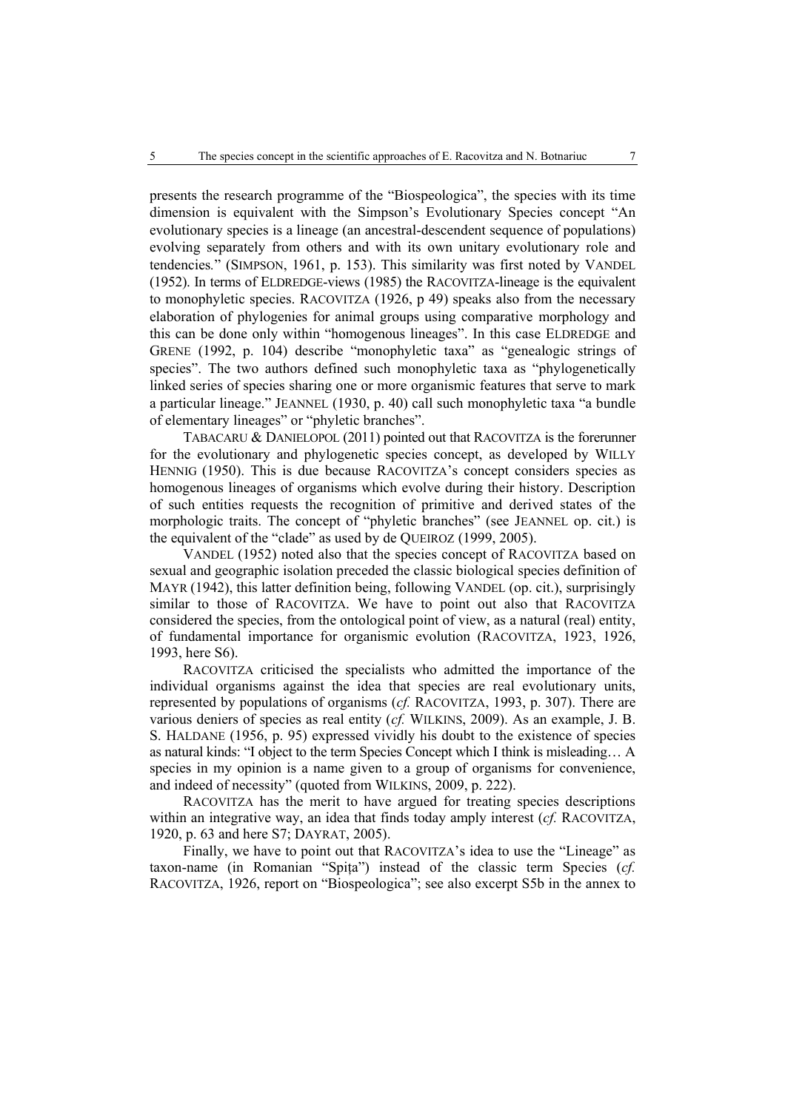presents the research programme of the "Biospeologica", the species with its time dimension is equivalent with the Simpson's Evolutionary Species concept "An evolutionary species is a lineage (an ancestral-descendent sequence of populations) evolving separately from others and with its own unitary evolutionary role and tendencies*.*" (SIMPSON, 1961, p. 153). This similarity was first noted by VANDEL (1952). In terms of ELDREDGE-views (1985) the RACOVITZA-lineage is the equivalent to monophyletic species. RACOVITZA (1926, p 49) speaks also from the necessary elaboration of phylogenies for animal groups using comparative morphology and this can be done only within "homogenous lineages". In this case ELDREDGE and GRENE (1992, p. 104) describe "monophyletic taxa" as "genealogic strings of species". The two authors defined such monophyletic taxa as "phylogenetically linked series of species sharing one or more organismic features that serve to mark a particular lineage." JEANNEL (1930, p. 40) call such monophyletic taxa "a bundle of elementary lineages" or "phyletic branches".

TABACARU & DANIELOPOL (2011) pointed out that RACOVITZA is the forerunner for the evolutionary and phylogenetic species concept, as developed by WILLY HENNIG (1950). This is due because RACOVITZA's concept considers species as homogenous lineages of organisms which evolve during their history. Description of such entities requests the recognition of primitive and derived states of the morphologic traits. The concept of "phyletic branches" (see JEANNEL op. cit.) is the equivalent of the "clade" as used by de QUEIROZ (1999, 2005).

VANDEL (1952) noted also that the species concept of RACOVITZA based on sexual and geographic isolation preceded the classic biological species definition of MAYR (1942), this latter definition being, following VANDEL (op. cit.), surprisingly similar to those of RACOVITZA. We have to point out also that RACOVITZA considered the species, from the ontological point of view, as a natural (real) entity, of fundamental importance for organismic evolution (RACOVITZA, 1923, 1926, 1993, here S6).

RACOVITZA criticised the specialists who admitted the importance of the individual organisms against the idea that species are real evolutionary units, represented by populations of organisms (*cf.* RACOVITZA, 1993, p. 307). There are various deniers of species as real entity (*cf.* WILKINS, 2009). As an example, J. B. S. HALDANE (1956, p. 95) expressed vividly his doubt to the existence of species as natural kinds: "I object to the term Species Concept which I think is misleading… A species in my opinion is a name given to a group of organisms for convenience, and indeed of necessity" (quoted from WILKINS, 2009, p. 222).

RACOVITZA has the merit to have argued for treating species descriptions within an integrative way, an idea that finds today amply interest (*cf.* RACOVITZA, 1920, p. 63 and here S7; DAYRAT, 2005).

Finally, we have to point out that RACOVITZA's idea to use the "Lineage" as taxon-name (in Romanian "Spiţa") instead of the classic term Species (*cf.* RACOVITZA, 1926, report on "Biospeologica"; see also excerpt S5b in the annex to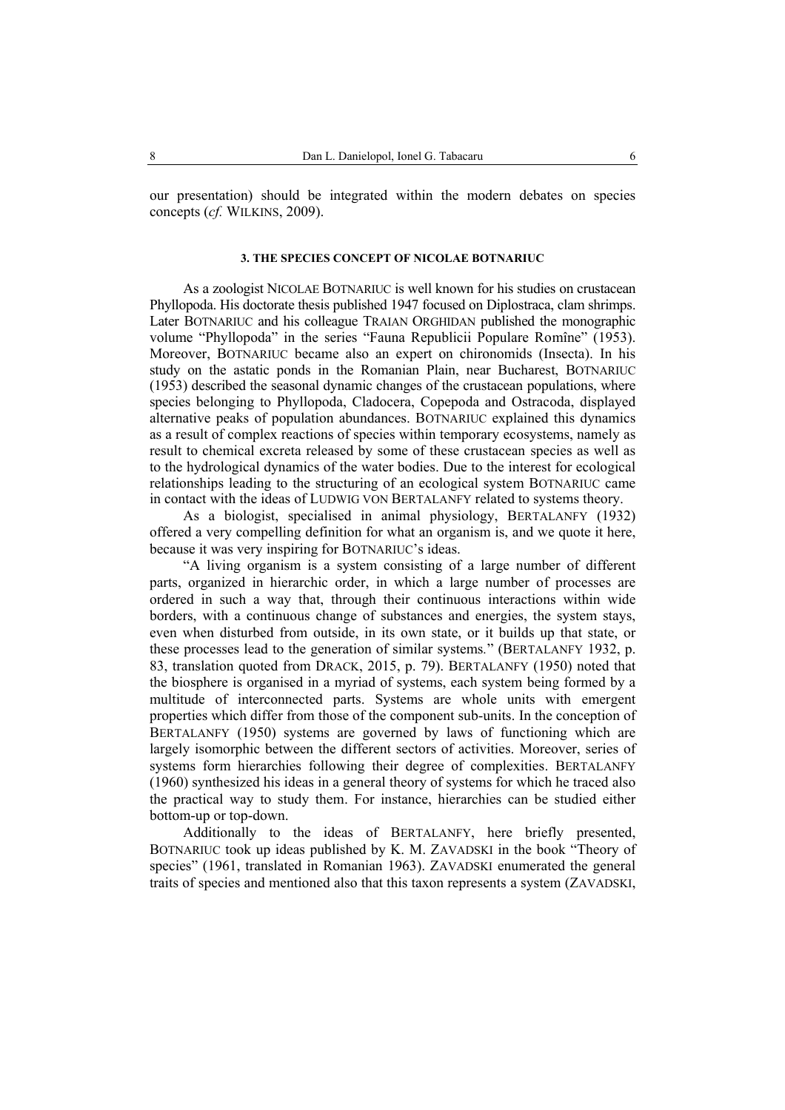our presentation) should be integrated within the modern debates on species concepts (*cf.* WILKINS, 2009).

#### **3. THE SPECIES CONCEPT OF NICOLAE BOTNARIUC**

As a zoologist NICOLAE BOTNARIUC is well known for his studies on crustacean Phyllopoda. His doctorate thesis published 1947 focused on Diplostraca, clam shrimps. Later BOTNARIUC and his colleague TRAIAN ORGHIDAN published the monographic volume "Phyllopoda" in the series "Fauna Republicii Populare Romîne" (1953). Moreover, BOTNARIUC became also an expert on chironomids (Insecta). In his study on the astatic ponds in the Romanian Plain, near Bucharest, BOTNARIUC (1953) described the seasonal dynamic changes of the crustacean populations, where species belonging to Phyllopoda, Cladocera, Copepoda and Ostracoda, displayed alternative peaks of population abundances. BOTNARIUC explained this dynamics as a result of complex reactions of species within temporary ecosystems, namely as result to chemical excreta released by some of these crustacean species as well as to the hydrological dynamics of the water bodies. Due to the interest for ecological relationships leading to the structuring of an ecological system BOTNARIUC came in contact with the ideas of LUDWIG VON BERTALANFY related to systems theory.

As a biologist, specialised in animal physiology, BERTALANFY (1932) offered a very compelling definition for what an organism is, and we quote it here, because it was very inspiring for BOTNARIUC's ideas.

"A living organism is a system consisting of a large number of different parts, organized in hierarchic order, in which a large number of processes are ordered in such a way that, through their continuous interactions within wide borders, with a continuous change of substances and energies, the system stays, even when disturbed from outside, in its own state, or it builds up that state, or these processes lead to the generation of similar systems*.*" (BERTALANFY 1932, p. 83, translation quoted from DRACK, 2015, p. 79). BERTALANFY (1950) noted that the biosphere is organised in a myriad of systems, each system being formed by a multitude of interconnected parts. Systems are whole units with emergent properties which differ from those of the component sub-units. In the conception of BERTALANFY (1950) systems are governed by laws of functioning which are largely isomorphic between the different sectors of activities. Moreover, series of systems form hierarchies following their degree of complexities. BERTALANFY (1960) synthesized his ideas in a general theory of systems for which he traced also the practical way to study them. For instance, hierarchies can be studied either bottom-up or top-down.

Additionally to the ideas of BERTALANFY, here briefly presented, BOTNARIUC took up ideas published by K. M. ZAVADSKI in the book "Theory of species" (1961, translated in Romanian 1963). ZAVADSKI enumerated the general traits of species and mentioned also that this taxon represents a system (ZAVADSKI,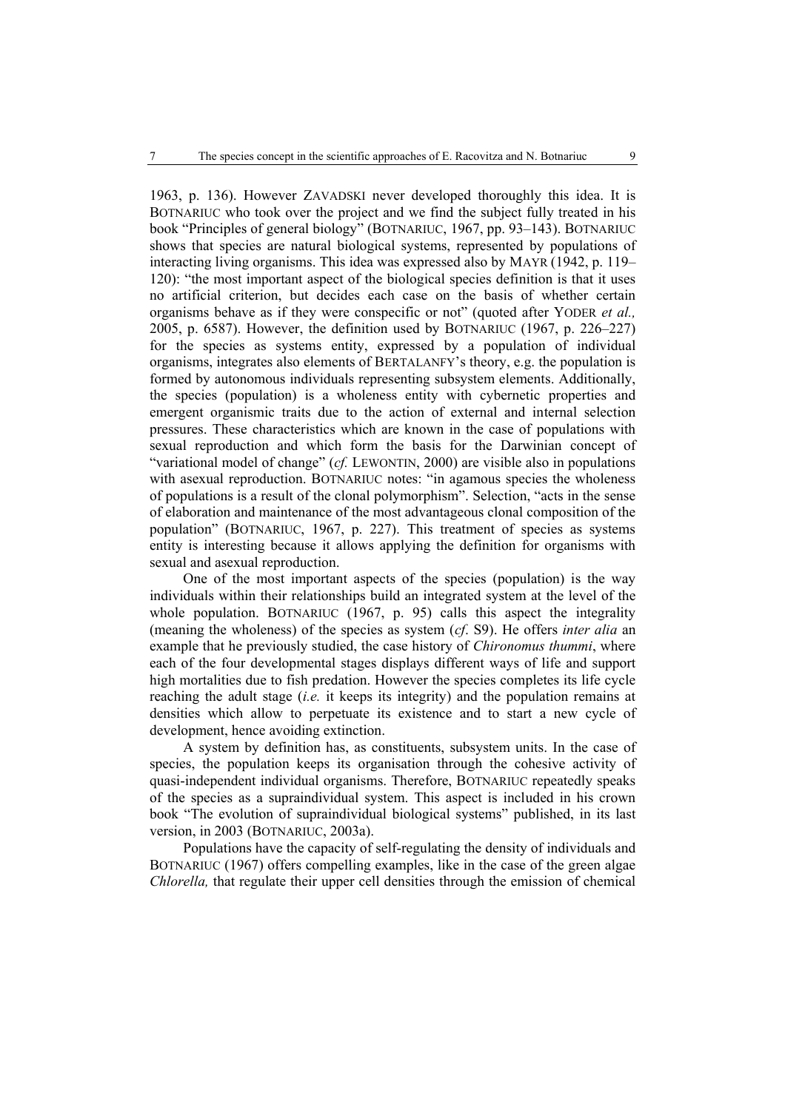1963, p. 136). However ZAVADSKI never developed thoroughly this idea. It is BOTNARIUC who took over the project and we find the subject fully treated in his book "Principles of general biology" (BOTNARIUC, 1967, pp. 93–143). BOTNARIUC shows that species are natural biological systems, represented by populations of interacting living organisms. This idea was expressed also by MAYR (1942, p. 119– 120): "the most important aspect of the biological species definition is that it uses no artificial criterion, but decides each case on the basis of whether certain organisms behave as if they were conspecific or not" (quoted after YODER *et al.,* 2005, p. 6587). However, the definition used by BOTNARIUC (1967, p. 226–227) for the species as systems entity, expressed by a population of individual organisms, integrates also elements of BERTALANFY's theory, e.g. the population is formed by autonomous individuals representing subsystem elements. Additionally, the species (population) is a wholeness entity with cybernetic properties and emergent organismic traits due to the action of external and internal selection pressures. These characteristics which are known in the case of populations with sexual reproduction and which form the basis for the Darwinian concept of "variational model of change" (*cf.* LEWONTIN, 2000) are visible also in populations with asexual reproduction. BOTNARIUC notes: "in agamous species the wholeness of populations is a result of the clonal polymorphism". Selection, "acts in the sense of elaboration and maintenance of the most advantageous clonal composition of the population" (BOTNARIUC, 1967, p. 227). This treatment of species as systems entity is interesting because it allows applying the definition for organisms with sexual and asexual reproduction.

One of the most important aspects of the species (population) is the way individuals within their relationships build an integrated system at the level of the whole population. BOTNARIUC (1967, p. 95) calls this aspect the integrality (meaning the wholeness) of the species as system (*cf*. S9). He offers *inter alia* an example that he previously studied, the case history of *Chironomus thummi*, where each of the four developmental stages displays different ways of life and support high mortalities due to fish predation. However the species completes its life cycle reaching the adult stage (*i.e.* it keeps its integrity) and the population remains at densities which allow to perpetuate its existence and to start a new cycle of development, hence avoiding extinction.

A system by definition has, as constituents, subsystem units. In the case of species, the population keeps its organisation through the cohesive activity of quasi-independent individual organisms. Therefore, BOTNARIUC repeatedly speaks of the species as a supraindividual system. This aspect is included in his crown book "The evolution of supraindividual biological systems" published, in its last version, in 2003 (BOTNARIUC, 2003a).

Populations have the capacity of self-regulating the density of individuals and BOTNARIUC (1967) offers compelling examples, like in the case of the green algae *Chlorella,* that regulate their upper cell densities through the emission of chemical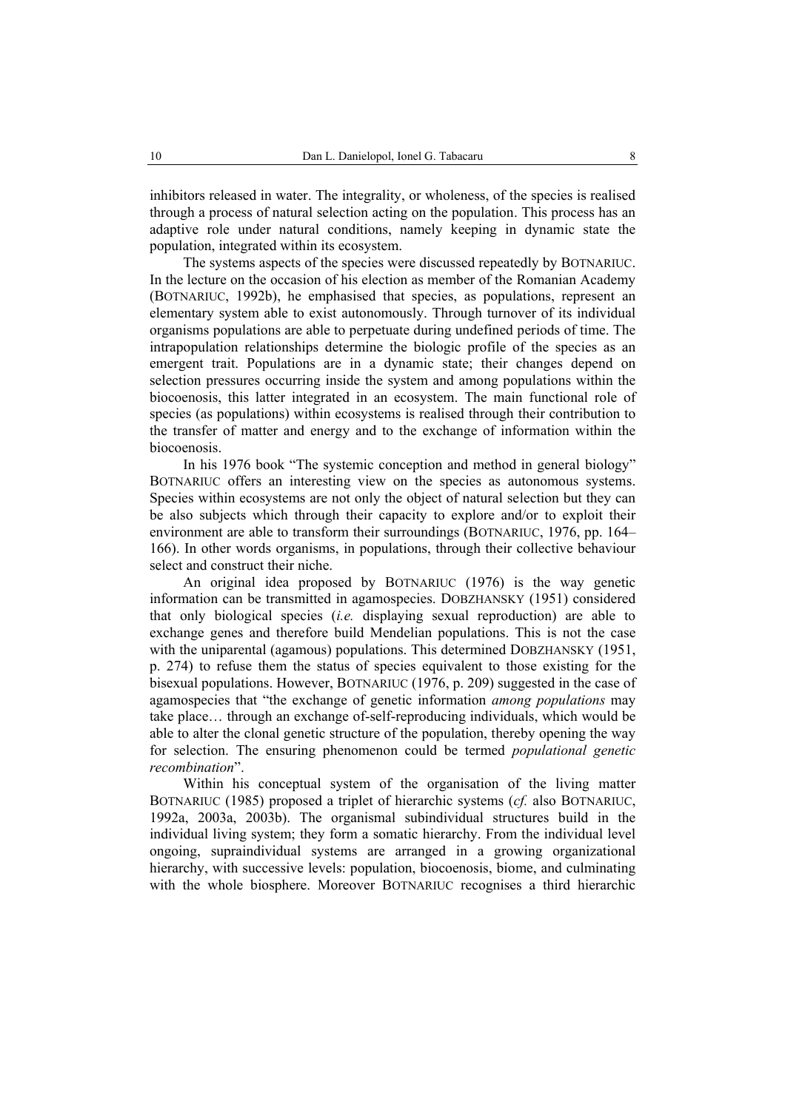inhibitors released in water. The integrality, or wholeness, of the species is realised through a process of natural selection acting on the population. This process has an adaptive role under natural conditions, namely keeping in dynamic state the population, integrated within its ecosystem.

The systems aspects of the species were discussed repeatedly by BOTNARIUC. In the lecture on the occasion of his election as member of the Romanian Academy (BOTNARIUC, 1992b), he emphasised that species, as populations, represent an elementary system able to exist autonomously. Through turnover of its individual organisms populations are able to perpetuate during undefined periods of time. The intrapopulation relationships determine the biologic profile of the species as an emergent trait. Populations are in a dynamic state; their changes depend on selection pressures occurring inside the system and among populations within the biocoenosis, this latter integrated in an ecosystem. The main functional role of species (as populations) within ecosystems is realised through their contribution to the transfer of matter and energy and to the exchange of information within the biocoenosis.

In his 1976 book "The systemic conception and method in general biology" BOTNARIUC offers an interesting view on the species as autonomous systems. Species within ecosystems are not only the object of natural selection but they can be also subjects which through their capacity to explore and/or to exploit their environment are able to transform their surroundings (BOTNARIUC, 1976, pp. 164– 166). In other words organisms, in populations, through their collective behaviour select and construct their niche.

An original idea proposed by BOTNARIUC (1976) is the way genetic information can be transmitted in agamospecies. DOBZHANSKY (1951) considered that only biological species (*i.e.* displaying sexual reproduction) are able to exchange genes and therefore build Mendelian populations. This is not the case with the uniparental (agamous) populations. This determined DOBZHANSKY (1951, p. 274) to refuse them the status of species equivalent to those existing for the bisexual populations. However, BOTNARIUC (1976, p. 209) suggested in the case of agamospecies that "the exchange of genetic information *among populations* may take place… through an exchange of-self-reproducing individuals, which would be able to alter the clonal genetic structure of the population, thereby opening the way for selection. The ensuring phenomenon could be termed *populational genetic recombination*".

Within his conceptual system of the organisation of the living matter BOTNARIUC (1985) proposed a triplet of hierarchic systems (*cf.* also BOTNARIUC, 1992a, 2003a, 2003b). The organismal subindividual structures build in the individual living system; they form a somatic hierarchy. From the individual level ongoing, supraindividual systems are arranged in a growing organizational hierarchy, with successive levels: population, biocoenosis, biome, and culminating with the whole biosphere. Moreover BOTNARIUC recognises a third hierarchic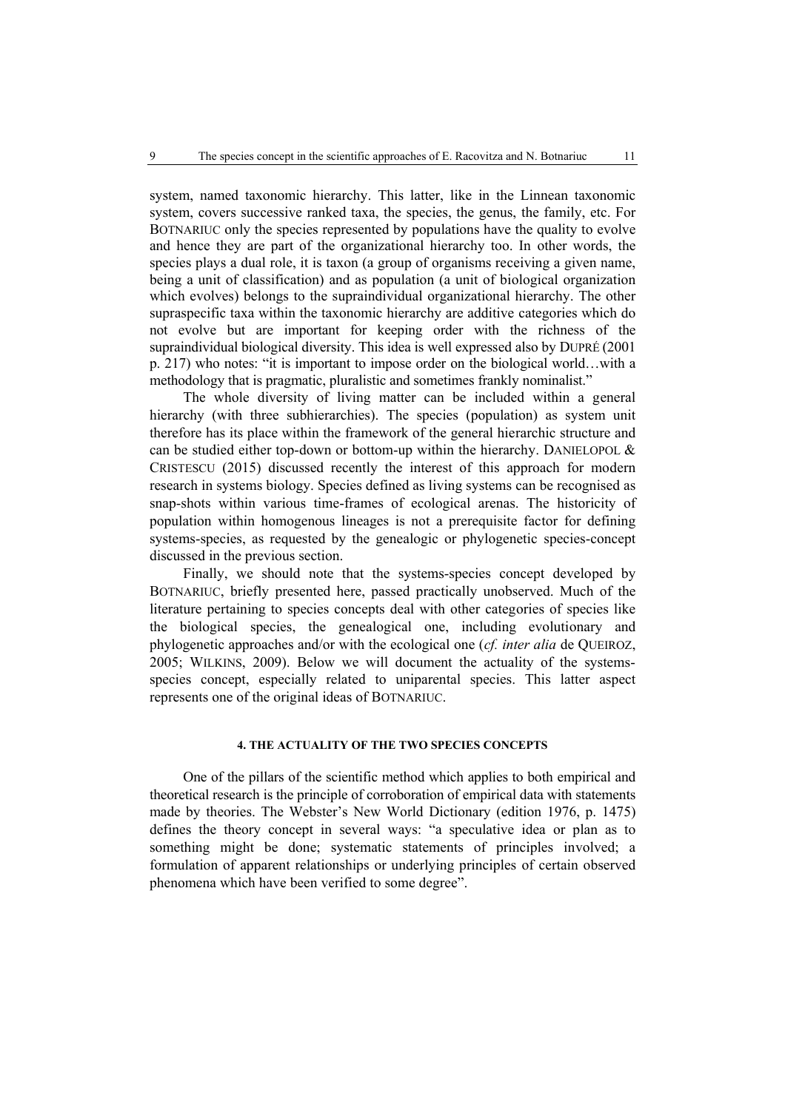system, named taxonomic hierarchy. This latter, like in the Linnean taxonomic system, covers successive ranked taxa, the species, the genus, the family, etc. For BOTNARIUC only the species represented by populations have the quality to evolve and hence they are part of the organizational hierarchy too. In other words, the species plays a dual role, it is taxon (a group of organisms receiving a given name, being a unit of classification) and as population (a unit of biological organization which evolves) belongs to the supraindividual organizational hierarchy. The other supraspecific taxa within the taxonomic hierarchy are additive categories which do not evolve but are important for keeping order with the richness of the supraindividual biological diversity. This idea is well expressed also by DUPRÉ (2001 p. 217) who notes: "it is important to impose order on the biological world…with a methodology that is pragmatic, pluralistic and sometimes frankly nominalist."

The whole diversity of living matter can be included within a general hierarchy (with three subhierarchies). The species (population) as system unit therefore has its place within the framework of the general hierarchic structure and can be studied either top-down or bottom-up within the hierarchy. DANIELOPOL  $\&$ CRISTESCU (2015) discussed recently the interest of this approach for modern research in systems biology. Species defined as living systems can be recognised as snap-shots within various time-frames of ecological arenas. The historicity of population within homogenous lineages is not a prerequisite factor for defining systems-species, as requested by the genealogic or phylogenetic species-concept discussed in the previous section.

Finally, we should note that the systems-species concept developed by BOTNARIUC, briefly presented here, passed practically unobserved. Much of the literature pertaining to species concepts deal with other categories of species like the biological species, the genealogical one, including evolutionary and phylogenetic approaches and/or with the ecological one (*cf. inter alia* de QUEIROZ, 2005; WILKINS, 2009). Below we will document the actuality of the systemsspecies concept, especially related to uniparental species. This latter aspect represents one of the original ideas of BOTNARIUC.

## **4. THE ACTUALITY OF THE TWO SPECIES CONCEPTS**

One of the pillars of the scientific method which applies to both empirical and theoretical research is the principle of corroboration of empirical data with statements made by theories. The Webster's New World Dictionary (edition 1976, p. 1475) defines the theory concept in several ways: "a speculative idea or plan as to something might be done; systematic statements of principles involved; a formulation of apparent relationships or underlying principles of certain observed phenomena which have been verified to some degree".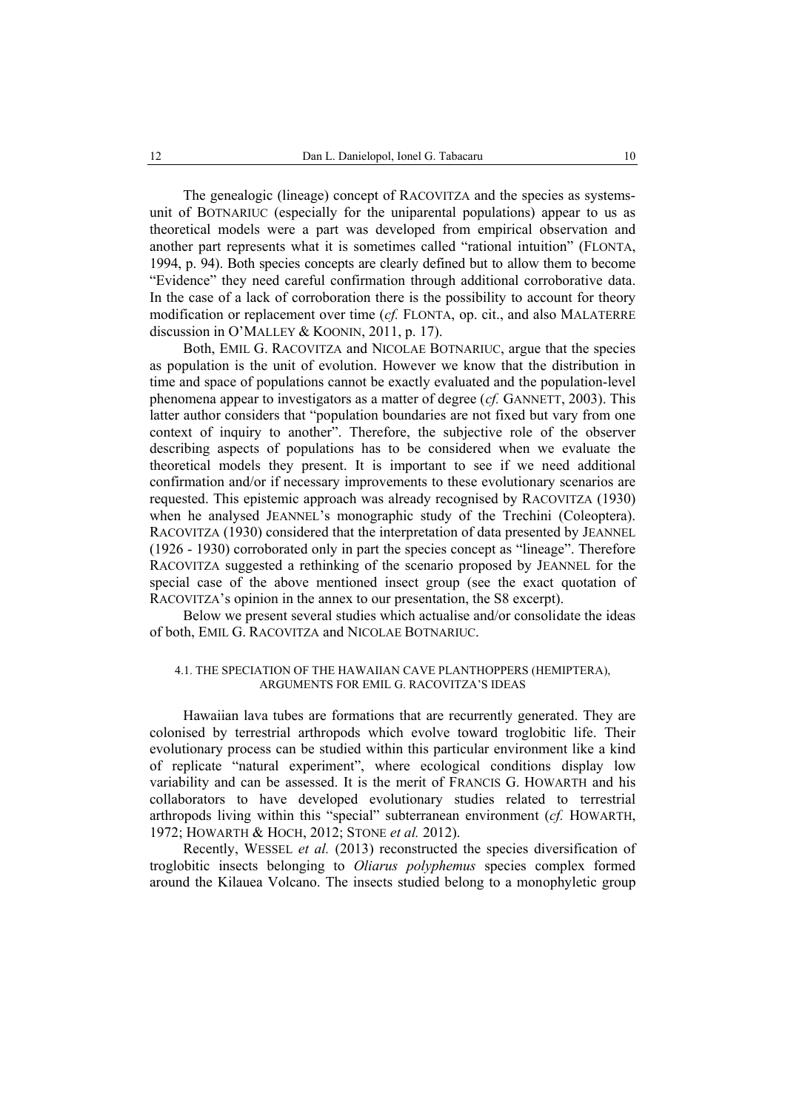The genealogic (lineage) concept of RACOVITZA and the species as systemsunit of BOTNARIUC (especially for the uniparental populations) appear to us as theoretical models were a part was developed from empirical observation and another part represents what it is sometimes called "rational intuition" (FLONTA, 1994, p. 94). Both species concepts are clearly defined but to allow them to become "Evidence" they need careful confirmation through additional corroborative data. In the case of a lack of corroboration there is the possibility to account for theory modification or replacement over time (*cf.* FLONTA, op. cit., and also MALATERRE discussion in O'MALLEY & KOONIN, 2011, p. 17).

Both, EMIL G. RACOVITZA and NICOLAE BOTNARIUC, argue that the species as population is the unit of evolution. However we know that the distribution in time and space of populations cannot be exactly evaluated and the population-level phenomena appear to investigators as a matter of degree (*cf.* GANNETT, 2003). This latter author considers that "population boundaries are not fixed but vary from one context of inquiry to another". Therefore, the subjective role of the observer describing aspects of populations has to be considered when we evaluate the theoretical models they present. It is important to see if we need additional confirmation and/or if necessary improvements to these evolutionary scenarios are requested. This epistemic approach was already recognised by RACOVITZA (1930) when he analysed JEANNEL's monographic study of the Trechini (Coleoptera). RACOVITZA (1930) considered that the interpretation of data presented by JEANNEL (1926 - 1930) corroborated only in part the species concept as "lineage". Therefore RACOVITZA suggested a rethinking of the scenario proposed by JEANNEL for the special case of the above mentioned insect group (see the exact quotation of RACOVITZA's opinion in the annex to our presentation, the S8 excerpt).

Below we present several studies which actualise and/or consolidate the ideas of both, EMIL G. RACOVITZA and NICOLAE BOTNARIUC.

## 4.1. THE SPECIATION OF THE HAWAIIAN CAVE PLANTHOPPERS (HEMIPTERA), ARGUMENTS FOR EMIL G. RACOVITZA'S IDEAS

Hawaiian lava tubes are formations that are recurrently generated. They are colonised by terrestrial arthropods which evolve toward troglobitic life. Their evolutionary process can be studied within this particular environment like a kind of replicate "natural experiment", where ecological conditions display low variability and can be assessed. It is the merit of FRANCIS G. HOWARTH and his collaborators to have developed evolutionary studies related to terrestrial arthropods living within this "special" subterranean environment (*cf.* HOWARTH, 1972; HOWARTH & HOCH, 2012; STONE *et al.* 2012).

Recently, WESSEL *et al.* (2013) reconstructed the species diversification of troglobitic insects belonging to *Oliarus polyphemus* species complex formed around the Kilauea Volcano. The insects studied belong to a monophyletic group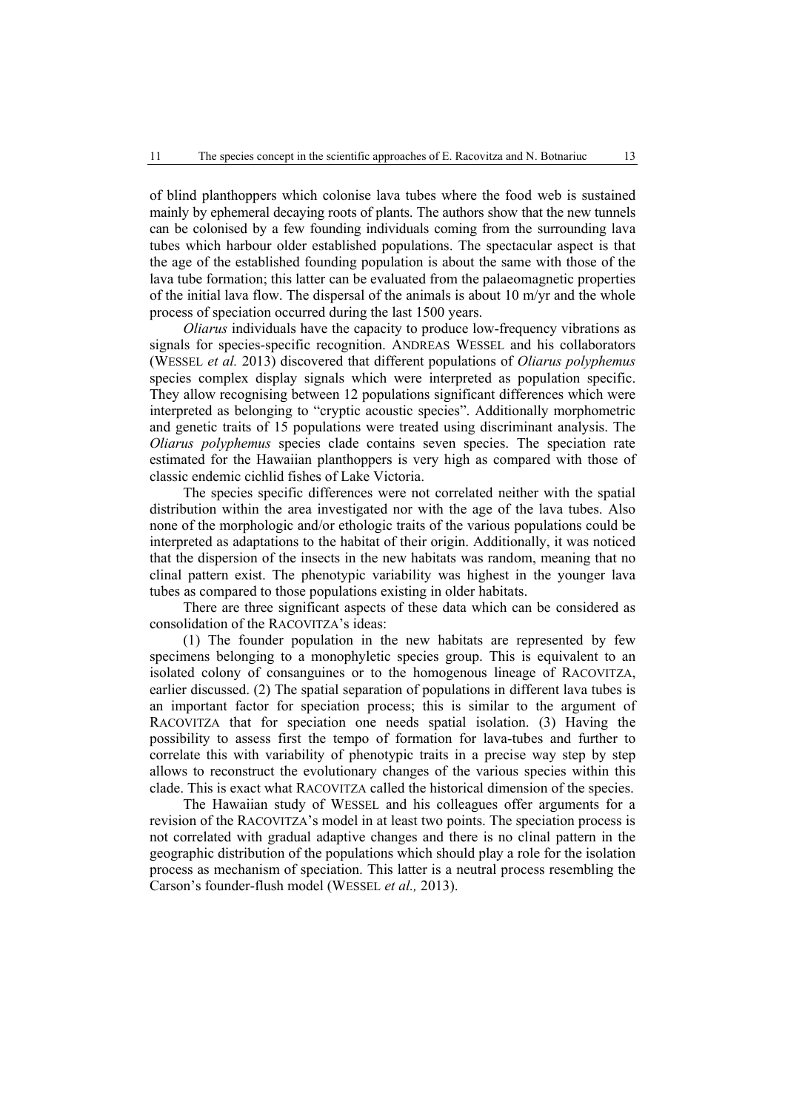of blind planthoppers which colonise lava tubes where the food web is sustained mainly by ephemeral decaying roots of plants. The authors show that the new tunnels can be colonised by a few founding individuals coming from the surrounding lava tubes which harbour older established populations. The spectacular aspect is that the age of the established founding population is about the same with those of the lava tube formation; this latter can be evaluated from the palaeomagnetic properties of the initial lava flow. The dispersal of the animals is about 10 m/yr and the whole process of speciation occurred during the last 1500 years.

*Oliarus* individuals have the capacity to produce low-frequency vibrations as signals for species-specific recognition. ANDREAS WESSEL and his collaborators (WESSEL *et al.* 2013) discovered that different populations of *Oliarus polyphemus* species complex display signals which were interpreted as population specific. They allow recognising between 12 populations significant differences which were interpreted as belonging to "cryptic acoustic species". Additionally morphometric and genetic traits of 15 populations were treated using discriminant analysis. The *Oliarus polyphemus* species clade contains seven species. The speciation rate estimated for the Hawaiian planthoppers is very high as compared with those of classic endemic cichlid fishes of Lake Victoria.

The species specific differences were not correlated neither with the spatial distribution within the area investigated nor with the age of the lava tubes. Also none of the morphologic and/or ethologic traits of the various populations could be interpreted as adaptations to the habitat of their origin. Additionally, it was noticed that the dispersion of the insects in the new habitats was random, meaning that no clinal pattern exist. The phenotypic variability was highest in the younger lava tubes as compared to those populations existing in older habitats.

There are three significant aspects of these data which can be considered as consolidation of the RACOVITZA's ideas:

(1) The founder population in the new habitats are represented by few specimens belonging to a monophyletic species group. This is equivalent to an isolated colony of consanguines or to the homogenous lineage of RACOVITZA, earlier discussed. (2) The spatial separation of populations in different lava tubes is an important factor for speciation process; this is similar to the argument of RACOVITZA that for speciation one needs spatial isolation. (3) Having the possibility to assess first the tempo of formation for lava-tubes and further to correlate this with variability of phenotypic traits in a precise way step by step allows to reconstruct the evolutionary changes of the various species within this clade. This is exact what RACOVITZA called the historical dimension of the species.

The Hawaiian study of WESSEL and his colleagues offer arguments for a revision of the RACOVITZA's model in at least two points. The speciation process is not correlated with gradual adaptive changes and there is no clinal pattern in the geographic distribution of the populations which should play a role for the isolation process as mechanism of speciation. This latter is a neutral process resembling the Carson's founder-flush model (WESSEL *et al.,* 2013).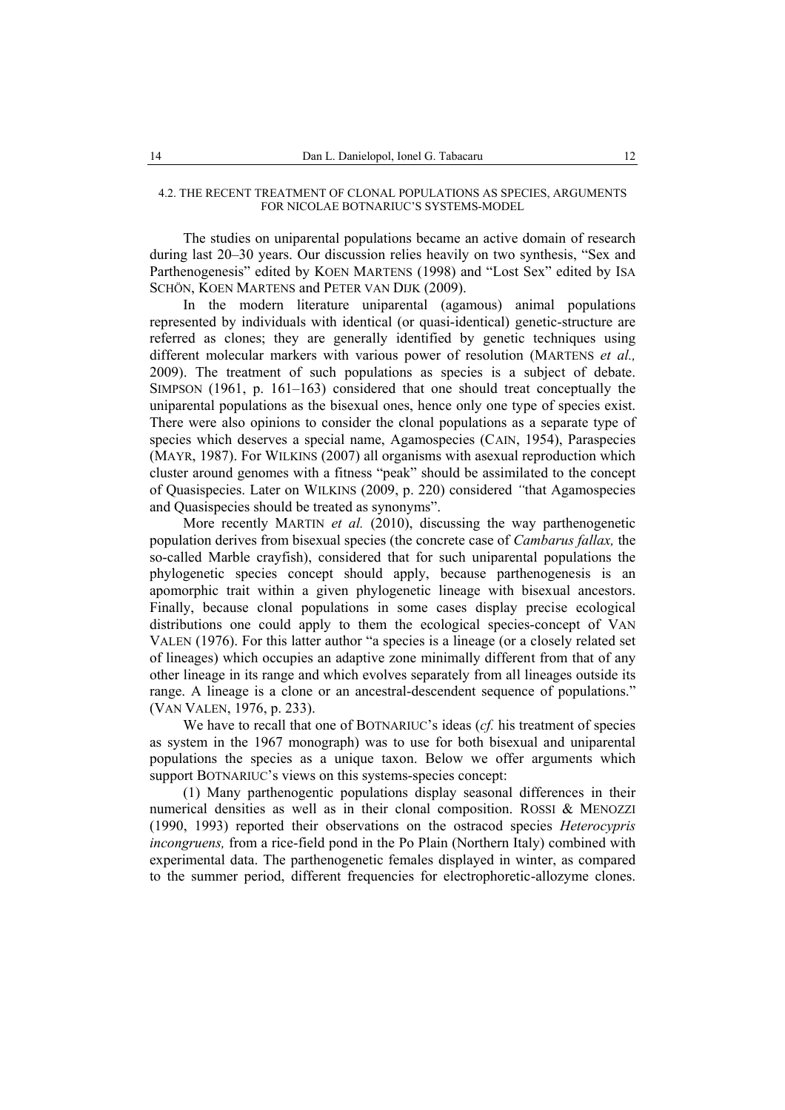#### 4.2. THE RECENT TREATMENT OF CLONAL POPULATIONS AS SPECIES, ARGUMENTS FOR NICOLAE BOTNARIUC'S SYSTEMS-MODEL

The studies on uniparental populations became an active domain of research during last 20–30 years. Our discussion relies heavily on two synthesis, "Sex and Parthenogenesis" edited by KOEN MARTENS (1998) and "Lost Sex" edited by ISA SCHÖN, KOEN MARTENS and PETER VAN DIJK (2009).

In the modern literature uniparental (agamous) animal populations represented by individuals with identical (or quasi-identical) genetic-structure are referred as clones; they are generally identified by genetic techniques using different molecular markers with various power of resolution (MARTENS *et al.,* 2009). The treatment of such populations as species is a subject of debate. SIMPSON (1961, p. 161–163) considered that one should treat conceptually the uniparental populations as the bisexual ones, hence only one type of species exist. There were also opinions to consider the clonal populations as a separate type of species which deserves a special name, Agamospecies (CAIN, 1954), Paraspecies (MAYR, 1987). For WILKINS (2007) all organisms with asexual reproduction which cluster around genomes with a fitness "peak" should be assimilated to the concept of Quasispecies. Later on WILKINS (2009, p. 220) considered *"*that Agamospecies and Quasispecies should be treated as synonyms".

More recently MARTIN *et al.* (2010), discussing the way parthenogenetic population derives from bisexual species (the concrete case of *Cambarus fallax,* the so-called Marble crayfish), considered that for such uniparental populations the phylogenetic species concept should apply, because parthenogenesis is an apomorphic trait within a given phylogenetic lineage with bisexual ancestors. Finally, because clonal populations in some cases display precise ecological distributions one could apply to them the ecological species-concept of VAN VALEN (1976). For this latter author "a species is a lineage (or a closely related set of lineages) which occupies an adaptive zone minimally different from that of any other lineage in its range and which evolves separately from all lineages outside its range. A lineage is a clone or an ancestral-descendent sequence of populations." (VAN VALEN, 1976, p. 233).

We have to recall that one of BOTNARIUC's ideas (*cf.* his treatment of species as system in the 1967 monograph) was to use for both bisexual and uniparental populations the species as a unique taxon. Below we offer arguments which support BOTNARIUC's views on this systems-species concept:

(1) Many parthenogentic populations display seasonal differences in their numerical densities as well as in their clonal composition. ROSSI & MENOZZI (1990, 1993) reported their observations on the ostracod species *Heterocypris incongruens,* from a rice-field pond in the Po Plain (Northern Italy) combined with experimental data. The parthenogenetic females displayed in winter, as compared to the summer period, different frequencies for electrophoretic-allozyme clones.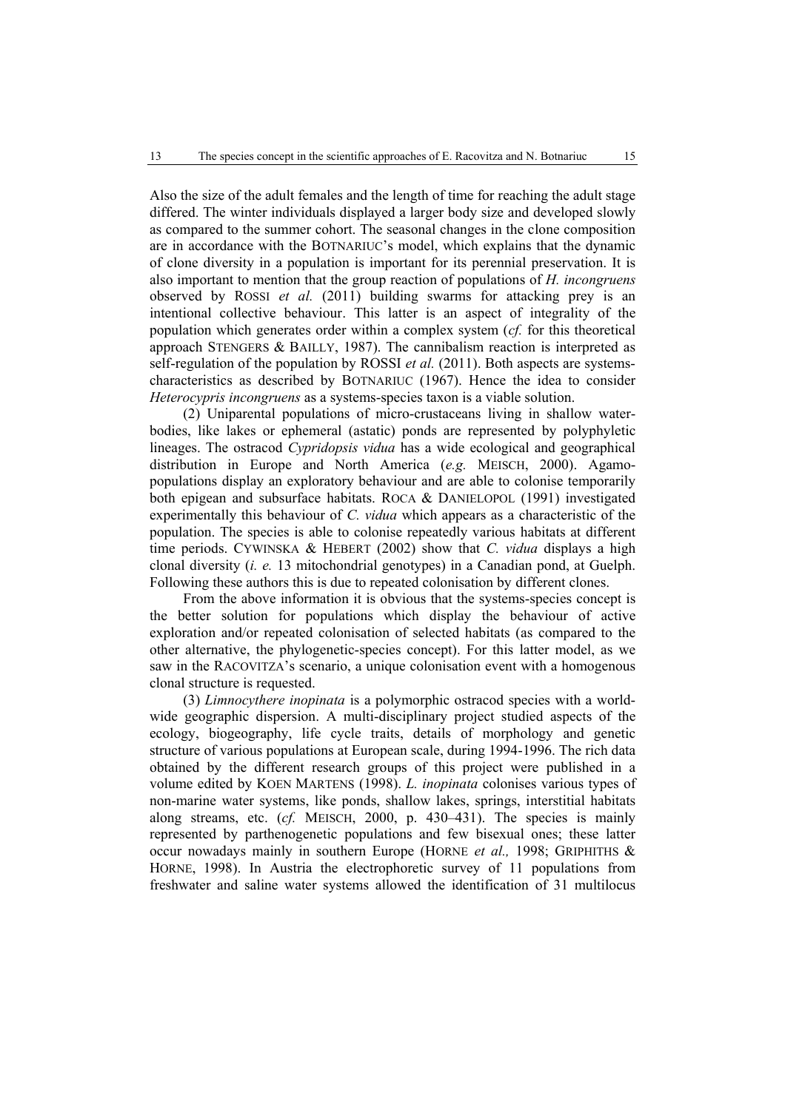Also the size of the adult females and the length of time for reaching the adult stage differed. The winter individuals displayed a larger body size and developed slowly as compared to the summer cohort. The seasonal changes in the clone composition are in accordance with the BOTNARIUC's model, which explains that the dynamic of clone diversity in a population is important for its perennial preservation. It is also important to mention that the group reaction of populations of *H. incongruens*  observed by ROSSI *et al.* (2011) building swarms for attacking prey is an intentional collective behaviour. This latter is an aspect of integrality of the population which generates order within a complex system (*cf.* for this theoretical approach STENGERS & BAILLY, 1987). The cannibalism reaction is interpreted as self-regulation of the population by ROSSI *et al.* (2011). Both aspects are systemscharacteristics as described by BOTNARIUC (1967). Hence the idea to consider *Heterocypris incongruens* as a systems-species taxon is a viable solution.

(2) Uniparental populations of micro-crustaceans living in shallow waterbodies, like lakes or ephemeral (astatic) ponds are represented by polyphyletic lineages. The ostracod *Cypridopsis vidua* has a wide ecological and geographical distribution in Europe and North America (*e.g.* MEISCH, 2000). Agamopopulations display an exploratory behaviour and are able to colonise temporarily both epigean and subsurface habitats. ROCA & DANIELOPOL (1991) investigated experimentally this behaviour of *C. vidua* which appears as a characteristic of the population. The species is able to colonise repeatedly various habitats at different time periods. CYWINSKA & HEBERT (2002) show that *C. vidua* displays a high clonal diversity (*i. e.* 13 mitochondrial genotypes) in a Canadian pond, at Guelph. Following these authors this is due to repeated colonisation by different clones.

From the above information it is obvious that the systems-species concept is the better solution for populations which display the behaviour of active exploration and/or repeated colonisation of selected habitats (as compared to the other alternative, the phylogenetic-species concept). For this latter model, as we saw in the RACOVITZA's scenario, a unique colonisation event with a homogenous clonal structure is requested.

(3) *Limnocythere inopinata* is a polymorphic ostracod species with a worldwide geographic dispersion. A multi-disciplinary project studied aspects of the ecology, biogeography, life cycle traits, details of morphology and genetic structure of various populations at European scale, during 1994-1996. The rich data obtained by the different research groups of this project were published in a volume edited by KOEN MARTENS (1998). *L. inopinata* colonises various types of non-marine water systems, like ponds, shallow lakes, springs, interstitial habitats along streams, etc. (*cf.* MEISCH, 2000, p. 430–431). The species is mainly represented by parthenogenetic populations and few bisexual ones; these latter occur nowadays mainly in southern Europe (HORNE *et al.,* 1998; GRIPHITHS & HORNE, 1998). In Austria the electrophoretic survey of 11 populations from freshwater and saline water systems allowed the identification of 31 multilocus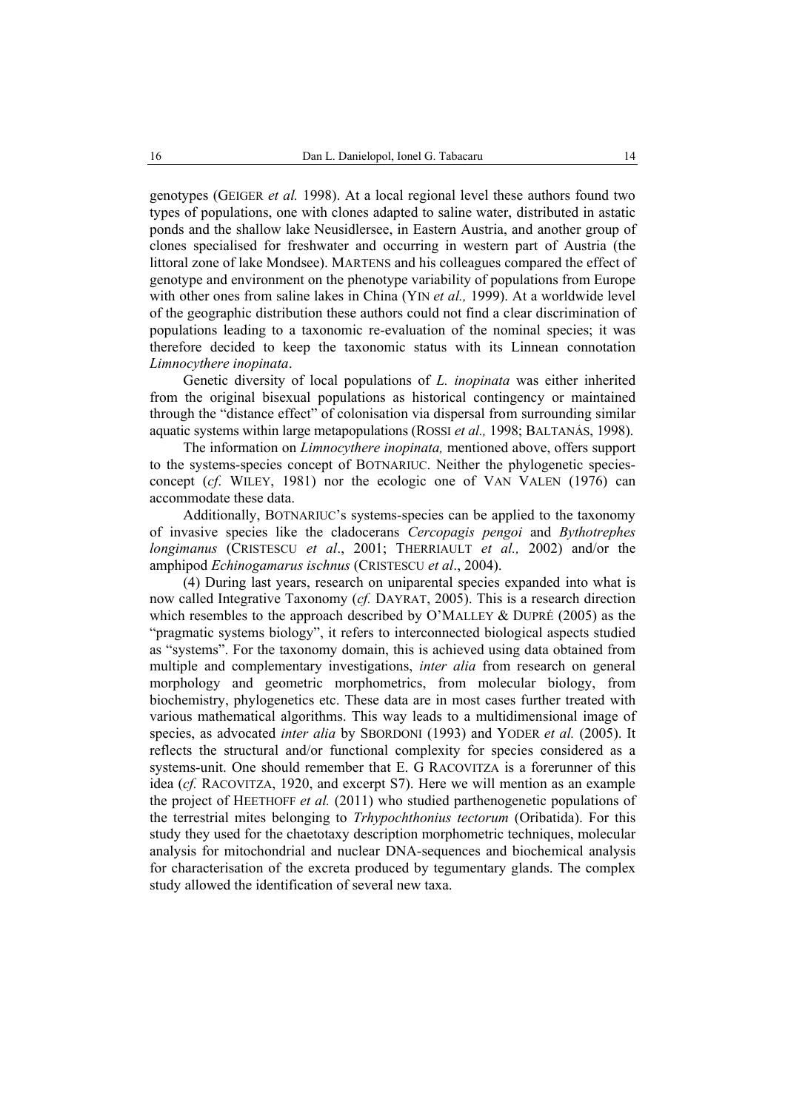genotypes (GEIGER *et al.* 1998). At a local regional level these authors found two types of populations, one with clones adapted to saline water, distributed in astatic ponds and the shallow lake Neusidlersee, in Eastern Austria, and another group of clones specialised for freshwater and occurring in western part of Austria (the littoral zone of lake Mondsee). MARTENS and his colleagues compared the effect of genotype and environment on the phenotype variability of populations from Europe with other ones from saline lakes in China (YIN *et al.,* 1999). At a worldwide level of the geographic distribution these authors could not find a clear discrimination of populations leading to a taxonomic re-evaluation of the nominal species; it was therefore decided to keep the taxonomic status with its Linnean connotation *Limnocythere inopinata*.

Genetic diversity of local populations of *L. inopinata* was either inherited from the original bisexual populations as historical contingency or maintained through the "distance effect" of colonisation via dispersal from surrounding similar aquatic systems within large metapopulations (ROSSI *et al.,* 1998; BALTANÁS, 1998).

The information on *Limnocythere inopinata,* mentioned above, offers support to the systems-species concept of BOTNARIUC. Neither the phylogenetic speciesconcept (*cf*. WILEY, 1981) nor the ecologic one of VAN VALEN (1976) can accommodate these data.

Additionally, BOTNARIUC's systems-species can be applied to the taxonomy of invasive species like the cladocerans *Cercopagis pengoi* and *Bythotrephes longimanus* (CRISTESCU *et al*., 2001; THERRIAULT *et al.,* 2002) and/or the amphipod *Echinogamarus ischnus* (CRISTESCU *et al*., 2004).

(4) During last years, research on uniparental species expanded into what is now called Integrative Taxonomy (*cf.* DAYRAT, 2005). This is a research direction which resembles to the approach described by O'MALLEY & DUPRÉ (2005) as the "pragmatic systems biology", it refers to interconnected biological aspects studied as "systems". For the taxonomy domain, this is achieved using data obtained from multiple and complementary investigations, *inter alia* from research on general morphology and geometric morphometrics, from molecular biology, from biochemistry, phylogenetics etc. These data are in most cases further treated with various mathematical algorithms. This way leads to a multidimensional image of species, as advocated *inter alia* by SBORDONI (1993) and YODER *et al.* (2005). It reflects the structural and/or functional complexity for species considered as a systems-unit. One should remember that E. G RACOVITZA is a forerunner of this idea (*cf.* RACOVITZA, 1920, and excerpt S7). Here we will mention as an example the project of HEETHOFF *et al.* (2011) who studied parthenogenetic populations of the terrestrial mites belonging to *Trhypochthonius tectorum* (Oribatida). For this study they used for the chaetotaxy description morphometric techniques, molecular analysis for mitochondrial and nuclear DNA-sequences and biochemical analysis for characterisation of the excreta produced by tegumentary glands. The complex study allowed the identification of several new taxa.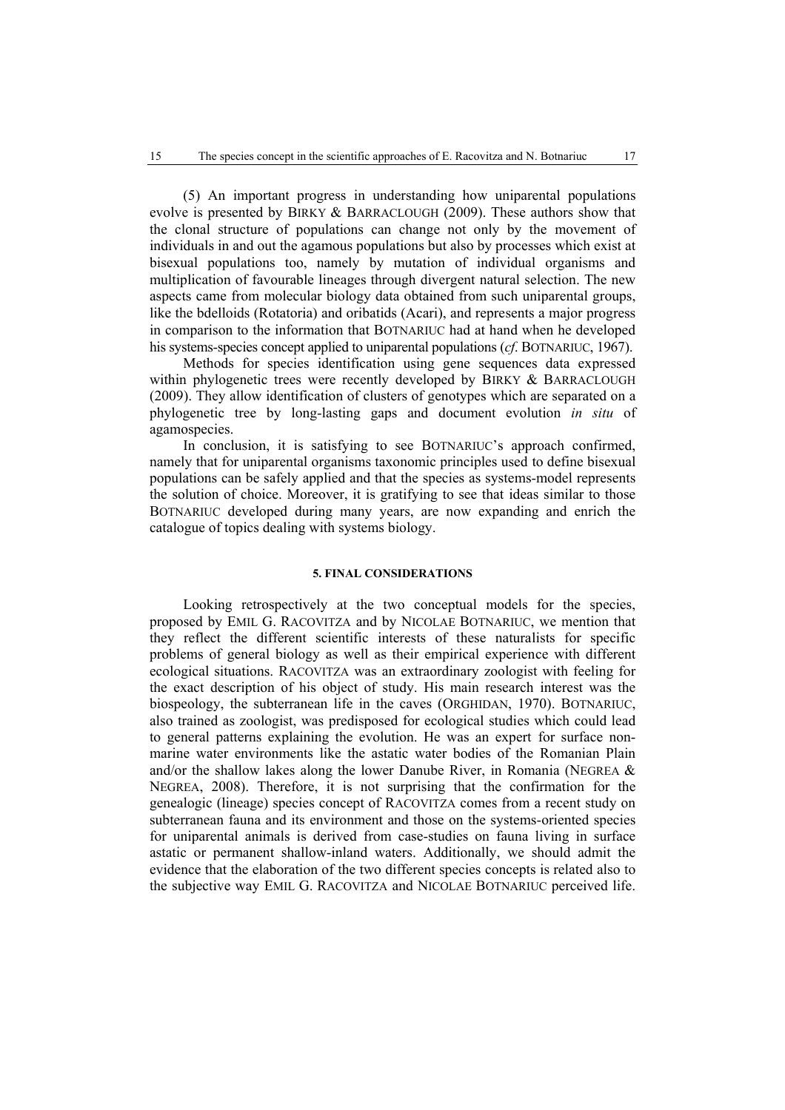(5) An important progress in understanding how uniparental populations evolve is presented by BIRKY & BARRACLOUGH (2009). These authors show that the clonal structure of populations can change not only by the movement of individuals in and out the agamous populations but also by processes which exist at bisexual populations too, namely by mutation of individual organisms and multiplication of favourable lineages through divergent natural selection. The new aspects came from molecular biology data obtained from such uniparental groups, like the bdelloids (Rotatoria) and oribatids (Acari), and represents a major progress in comparison to the information that BOTNARIUC had at hand when he developed his systems-species concept applied to uniparental populations (*cf*. BOTNARIUC, 1967).

Methods for species identification using gene sequences data expressed within phylogenetic trees were recently developed by BIRKY & BARRACLOUGH (2009). They allow identification of clusters of genotypes which are separated on a phylogenetic tree by long-lasting gaps and document evolution *in situ* of agamospecies.

In conclusion, it is satisfying to see BOTNARIUC's approach confirmed, namely that for uniparental organisms taxonomic principles used to define bisexual populations can be safely applied and that the species as systems-model represents the solution of choice. Moreover, it is gratifying to see that ideas similar to those BOTNARIUC developed during many years, are now expanding and enrich the catalogue of topics dealing with systems biology.

## **5. FINAL CONSIDERATIONS**

Looking retrospectively at the two conceptual models for the species, proposed by EMIL G. RACOVITZA and by NICOLAE BOTNARIUC, we mention that they reflect the different scientific interests of these naturalists for specific problems of general biology as well as their empirical experience with different ecological situations. RACOVITZA was an extraordinary zoologist with feeling for the exact description of his object of study. His main research interest was the biospeology, the subterranean life in the caves (ORGHIDAN, 1970). BOTNARIUC, also trained as zoologist, was predisposed for ecological studies which could lead to general patterns explaining the evolution. He was an expert for surface nonmarine water environments like the astatic water bodies of the Romanian Plain and/or the shallow lakes along the lower Danube River, in Romania (NEGREA  $\&$ NEGREA, 2008). Therefore, it is not surprising that the confirmation for the genealogic (lineage) species concept of RACOVITZA comes from a recent study on subterranean fauna and its environment and those on the systems-oriented species for uniparental animals is derived from case-studies on fauna living in surface astatic or permanent shallow-inland waters. Additionally, we should admit the evidence that the elaboration of the two different species concepts is related also to the subjective way EMIL G. RACOVITZA and NICOLAE BOTNARIUC perceived life.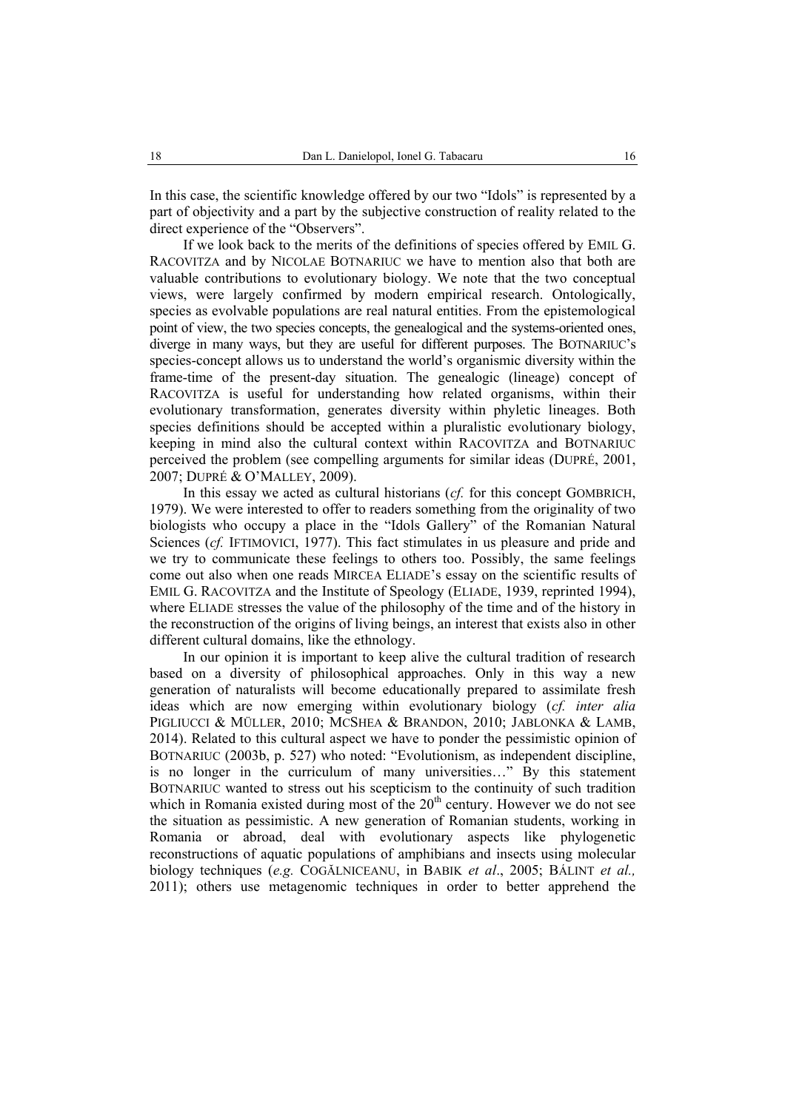In this case, the scientific knowledge offered by our two "Idols" is represented by a part of objectivity and a part by the subjective construction of reality related to the direct experience of the "Observers".

If we look back to the merits of the definitions of species offered by EMIL G. RACOVITZA and by NICOLAE BOTNARIUC we have to mention also that both are valuable contributions to evolutionary biology. We note that the two conceptual views, were largely confirmed by modern empirical research. Ontologically, species as evolvable populations are real natural entities. From the epistemological point of view, the two species concepts, the genealogical and the systems-oriented ones, diverge in many ways, but they are useful for different purposes. The BOTNARIUC's species-concept allows us to understand the world's organismic diversity within the frame-time of the present-day situation. The genealogic (lineage) concept of RACOVITZA is useful for understanding how related organisms, within their evolutionary transformation, generates diversity within phyletic lineages. Both species definitions should be accepted within a pluralistic evolutionary biology, keeping in mind also the cultural context within RACOVITZA and BOTNARIUC perceived the problem (see compelling arguments for similar ideas (DUPRÉ, 2001, 2007; DUPRÉ & O'MALLEY, 2009).

In this essay we acted as cultural historians (*cf.* for this concept GOMBRICH, 1979). We were interested to offer to readers something from the originality of two biologists who occupy a place in the "Idols Gallery" of the Romanian Natural Sciences (*cf.* IFTIMOVICI, 1977). This fact stimulates in us pleasure and pride and we try to communicate these feelings to others too. Possibly, the same feelings come out also when one reads MIRCEA ELIADE's essay on the scientific results of EMIL G. RACOVITZA and the Institute of Speology (ELIADE, 1939, reprinted 1994), where ELIADE stresses the value of the philosophy of the time and of the history in the reconstruction of the origins of living beings, an interest that exists also in other different cultural domains, like the ethnology.

In our opinion it is important to keep alive the cultural tradition of research based on a diversity of philosophical approaches. Only in this way a new generation of naturalists will become educationally prepared to assimilate fresh ideas which are now emerging within evolutionary biology (*cf. inter alia* PIGLIUCCI & MÜLLER, 2010; MCSHEA & BRANDON, 2010; JABLONKA & LAMB, 2014). Related to this cultural aspect we have to ponder the pessimistic opinion of BOTNARIUC (2003b, p. 527) who noted: "Evolutionism, as independent discipline, is no longer in the curriculum of many universities…" By this statement BOTNARIUC wanted to stress out his scepticism to the continuity of such tradition which in Romania existed during most of the  $20<sup>th</sup>$  century. However we do not see the situation as pessimistic. A new generation of Romanian students, working in Romania or abroad, deal with evolutionary aspects like phylogenetic reconstructions of aquatic populations of amphibians and insects using molecular biology techniques (*e.g.* COGĂLNICEANU, in BABIK *et al*., 2005; BÁLINT *et al.,* 2011); others use metagenomic techniques in order to better apprehend the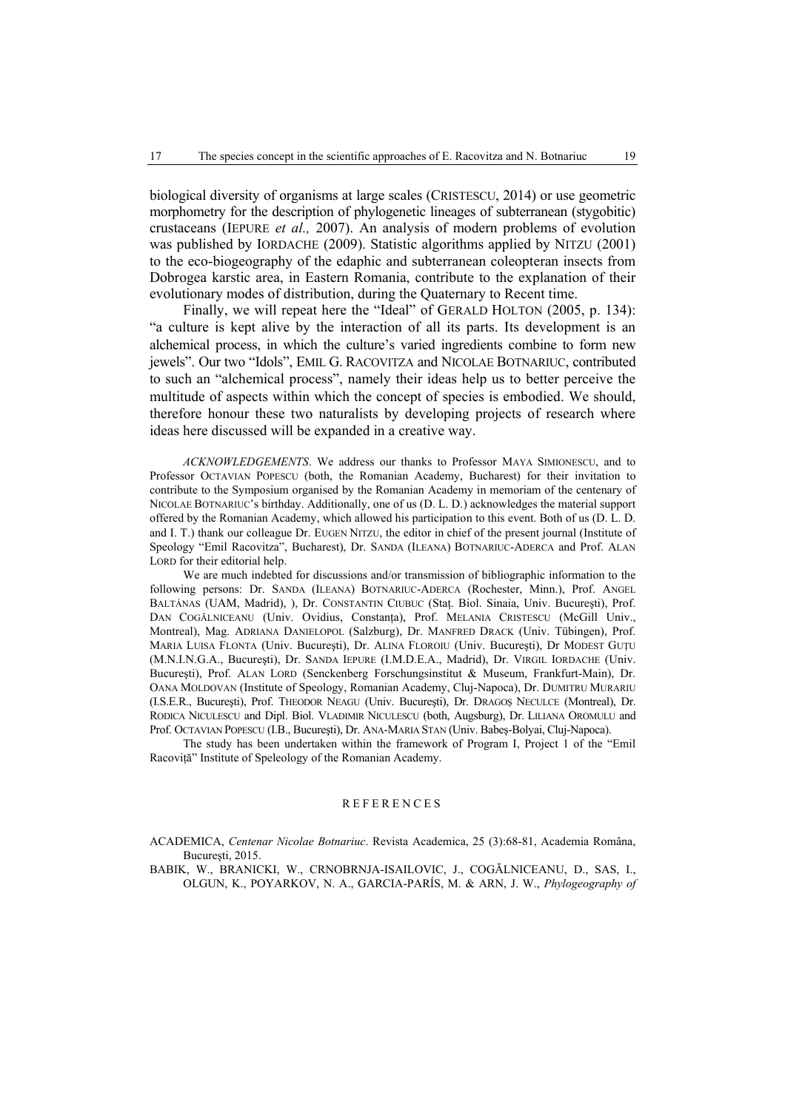biological diversity of organisms at large scales (CRISTESCU, 2014) or use geometric morphometry for the description of phylogenetic lineages of subterranean (stygobitic) crustaceans (IEPURE *et al.,* 2007). An analysis of modern problems of evolution was published by IORDACHE (2009). Statistic algorithms applied by NITZU (2001) to the eco-biogeography of the edaphic and subterranean coleopteran insects from Dobrogea karstic area, in Eastern Romania, contribute to the explanation of their evolutionary modes of distribution, during the Quaternary to Recent time.

Finally, we will repeat here the "Ideal" of GERALD HOLTON (2005, p. 134): "a culture is kept alive by the interaction of all its parts. Its development is an alchemical process, in which the culture's varied ingredients combine to form new jewels". Our two "Idols", EMIL G. RACOVITZA and NICOLAE BOTNARIUC, contributed to such an "alchemical process", namely their ideas help us to better perceive the multitude of aspects within which the concept of species is embodied. We should, therefore honour these two naturalists by developing projects of research where ideas here discussed will be expanded in a creative way.

*ACKNOWLEDGEMENTS*. We address our thanks to Professor MAYA SIMIONESCU, and to Professor OCTAVIAN POPESCU (both, the Romanian Academy, Bucharest) for their invitation to contribute to the Symposium organised by the Romanian Academy in memoriam of the centenary of NICOLAE BOTNARIUC's birthday. Additionally, one of us (D. L. D.) acknowledges the material support offered by the Romanian Academy, which allowed his participation to this event. Both of us (D. L. D. and I. T.) thank our colleague Dr. EUGEN NITZU, the editor in chief of the present journal (Institute of Speology "Emil Racovitza", Bucharest), Dr. SANDA (ILEANA) BOTNARIUC-ADERCA and Prof. ALAN LORD for their editorial help.

We are much indebted for discussions and/or transmission of bibliographic information to the following persons: Dr. SANDA (ILEANA) BOTNARIUC-ADERCA (Rochester, Minn.), Prof. ANGEL BALTÁNAS (UAM, Madrid), ), Dr. CONSTANTIN CIUBUC (Stat. Biol. Sinaia, Univ. Bucuresti), Prof. DAN COGĂLNICEANU (Univ. Ovidius, Constanta), Prof. MELANIA CRISTESCU (McGill Univ., Montreal), Mag. ADRIANA DANIELOPOL (Salzburg), Dr. MANFRED DRACK (Univ. Tübingen), Prof. MARIA LUISA FLONTA (Univ. Bucureşti), Dr. ALINA FLOROIU (Univ. Bucureşti), Dr MODEST GUŢU (M.N.I.N.G.A., Bucureşti), Dr. SANDA IEPURE (I.M.D.E.A., Madrid), Dr. VIRGIL IORDACHE (Univ. Bucureşti), Prof. ALAN LORD (Senckenberg Forschungsinstitut & Museum, Frankfurt-Main), Dr. OANA MOLDOVAN (Institute of Speology, Romanian Academy, Cluj-Napoca), Dr. DUMITRU MURARIU (I.S.E.R., Bucureşti), Prof. THEODOR NEAGU (Univ. Bucureşti), Dr. DRAGOŞ NECULCE (Montreal), Dr. RODICA NICULESCU and Dipl. Biol. VLADIMIR NICULESCU (both, Augsburg), Dr. LILIANA OROMULU and Prof. OCTAVIAN POPESCU (I.B., Bucureşti), Dr. ANA-MARIA STAN (Univ. Babeş-Bolyai, Cluj-Napoca).

The study has been undertaken within the framework of Program I, Project 1 of the "Emil Racoviţă" Institute of Speleology of the Romanian Academy.

## REFERENCES

ACADEMICA, *Centenar Nicolae Botnariuc*. Revista Academica, 25 (3):68-81, Academia Româna, Bucureşti, 2015.

BABIK, W., BRANICKI, W., CRNOBRNJA-ISAILOVIC, J., COGĂLNICEANU, D., SAS, I., OLGUN, K., POYARKOV, N. A., GARCIA-PARÍS, M. & ARN, J. W., *Phylogeography of*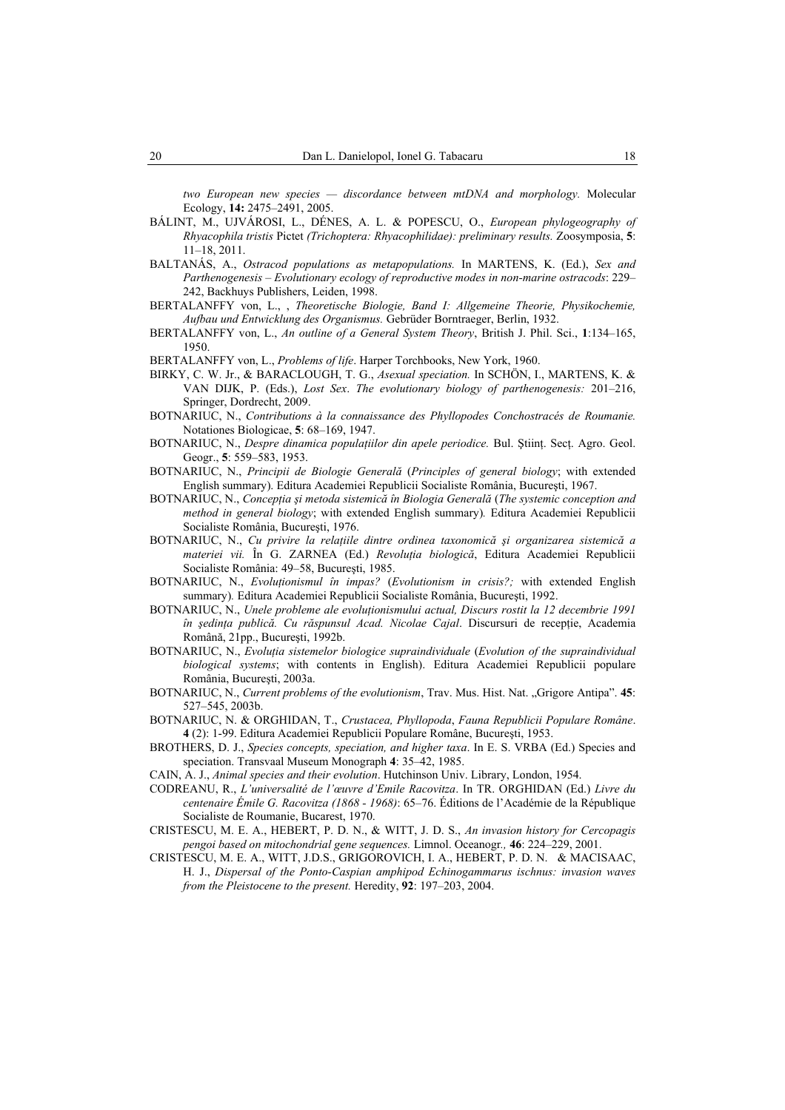*two European new species — discordance between mtDNA and morphology.* Molecular Ecology, **14:** 2475–2491, 2005.

- BÁLINT, M., UJVÁROSI, L., DÉNES, A. L. & POPESCU, O., *European phylogeography of Rhyacophila tristis* Pictet *(Trichoptera: Rhyacophilidae): preliminary results.* Zoosymposia, **5**: 11–18, 2011.
- BALTANÁS, A., *Ostracod populations as metapopulations.* In MARTENS, K. (Ed.), *Sex and Parthenogenesis – Evolutionary ecology of reproductive modes in non-marine ostracods*: 229– 242, Backhuys Publishers, Leiden, 1998.
- BERTALANFFY von, L., , *Theoretische Biologie, Band I: Allgemeine Theorie, Physikochemie, Aufbau und Entwicklung des Organismus.* Gebrüder Borntraeger, Berlin, 1932.
- BERTALANFFY von, L., *An outline of a General System Theory*, British J. Phil. Sci., **1**:134–165, 1950.
- BERTALANFFY von, L., *Problems of life*. Harper Torchbooks, New York, 1960.
- BIRKY, C. W. Jr., & BARACLOUGH, T. G., *Asexual speciation.* In SCHÖN, I., MARTENS, K. & VAN DIJK, P. (Eds.), *Lost Sex*. *The evolutionary biology of parthenogenesis:* 201–216, Springer, Dordrecht, 2009.
- BOTNARIUC, N., *Contributions à la connaissance des Phyllopodes Conchostracés de Roumanie.* Notationes Biologicae, **5**: 68–169, 1947.
- BOTNARIUC, N., *Despre dinamica populatiilor din apele periodice*. Bul. Stiint. Sect. Agro. Geol. Geogr., **5**: 559–583, 1953.
- BOTNARIUC, N., *Principii de Biologie Generală* (*Principles of general biology*; with extended English summary). Editura Academiei Republicii Socialiste România, Bucureşti, 1967.
- BOTNARIUC, N., *Concepţia şi metoda sistemică în Biologia Generală* (*The systemic conception and method in general biology*; with extended English summary)*.* Editura Academiei Republicii Socialiste România, Bucureşti, 1976.
- BOTNARIUC, N., *Cu privire la relaţiile dintre ordinea taxonomică şi organizarea sistemică a materiei vii.* În G. ZARNEA (Ed.) *Revoluţia biologică*, Editura Academiei Republicii Socialiste România: 49–58, Bucureşti, 1985.
- BOTNARIUC, N., *Evoluţionismul în impas?* (*Evolutionism in crisis?;* with extended English summary)*.* Editura Academiei Republicii Socialiste România, Bucureşti, 1992.
- BOTNARIUC, N., *Unele probleme ale evoluţionismului actual, Discurs rostit la 12 decembrie 1991 în şedinţa publică. Cu răspunsul Acad. Nicolae Cajal*. Discursuri de recepţie, Academia Română, 21pp., Bucureşti, 1992b.
- BOTNARIUC, N., *Evoluţia sistemelor biologice supraindividuale* (*Evolution of the supraindividual biological systems*; with contents in English). Editura Academiei Republicii populare România, Bucureşti, 2003a.
- BOTNARIUC, N., *Current problems of the evolutionism*, Trav. Mus. Hist. Nat. "Grigore Antipa". 45: 527–545, 2003b.
- BOTNARIUC, N. & ORGHIDAN, T., *Crustacea, Phyllopoda*, *Fauna Republicii Populare Române*. **4** (2): 1-99. Editura Academiei Republicii Populare Române, Bucureşti, 1953.
- BROTHERS, D. J., *Species concepts, speciation, and higher taxa*. In E. S. VRBA (Ed.) Species and speciation. Transvaal Museum Monograph **4**: 35–42, 1985.
- CAIN, A. J., *Animal species and their evolution*. Hutchinson Univ. Library, London, 1954.
- CODREANU, R., *L'universalité de l'œuvre d'Emile Racovitza*. In TR. ORGHIDAN (Ed.) *Livre du centenaire Émile G. Racovitza (1868 - 1968)*: 65–76. Éditions de l'Académie de la République Socialiste de Roumanie, Bucarest, 1970.
- CRISTESCU, M. E. A., HEBERT, P. D. N., & WITT, J. D. S., *An invasion history for Cercopagis pengoi based on mitochondrial gene sequences.* Limnol. Oceanogr*.,* **46**: 224–229, 2001.
- CRISTESCU, M. E. A., WITT, J.D.S., GRIGOROVICH, I. A., HEBERT, P. D. N. & MACISAAC, H. J., *Dispersal of the Ponto-Caspian amphipod Echinogammarus ischnus: invasion waves from the Pleistocene to the present.* Heredity, **92**: 197–203, 2004.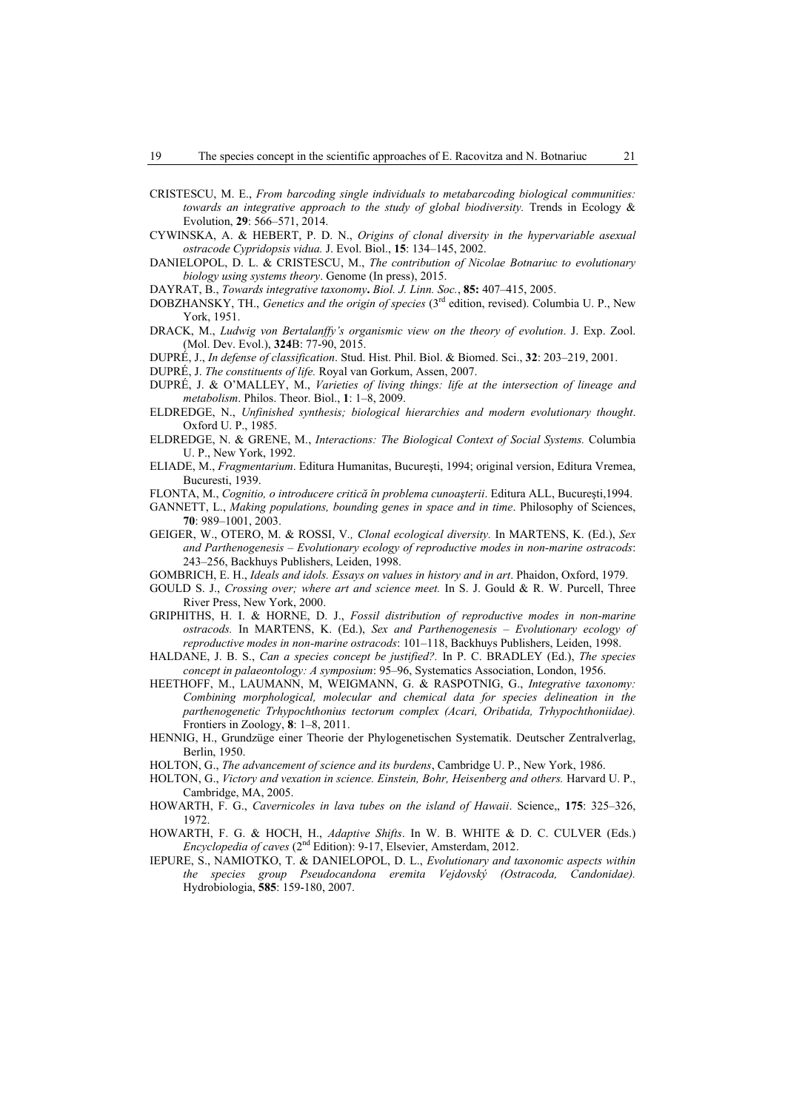- CRISTESCU, M. E., *From barcoding single individuals to metabarcoding biological communities: towards an integrative approach to the study of global biodiversity.* Trends in Ecology & Evolution, **29**: 566–571, 2014.
- CYWINSKA, A. & HEBERT, P. D. N., *Origins of clonal diversity in the hypervariable asexual ostracode Cypridopsis vidua.* J. Evol. Biol., **15**: 134–145, 2002.
- DANIELOPOL, D. L. & CRISTESCU, M., *The contribution of Nicolae Botnariuc to evolutionary biology using systems theory*. Genome (In press), 2015.
- DAYRAT, B., *Towards integrative taxonomy***.** *Biol. J. Linn. Soc.*, **85:** 407–415, 2005.
- DOBZHANSKY, TH., *Genetics and the origin of species* (3rd edition, revised). Columbia U. P., New York, 1951.
- DRACK, M., *Ludwig von Bertalanffy's organismic view on the theory of evolution*. J. Exp. Zool. (Mol. Dev. Evol.), **324**B: 77-90, 2015.

DUPRÉ, J., *In defense of classification*. Stud. Hist. Phil. Biol. & Biomed. Sci., **32**: 203–219, 2001.

DUPRÉ, J. *The constituents of life.* Royal van Gorkum, Assen, 2007.

- DUPRÉ, J. & O'MALLEY, M., *Varieties of living things: life at the intersection of lineage and metabolism*. Philos. Theor. Biol., **1**: 1–8, 2009.
- ELDREDGE, N., *Unfinished synthesis; biological hierarchies and modern evolutionary thought*. Oxford U. P., 1985.
- ELDREDGE, N. & GRENE, M., *Interactions: The Biological Context of Social Systems.* Columbia U. P., New York, 1992.
- ELIADE, M., *Fragmentarium*. Editura Humanitas, Bucureşti, 1994; original version, Editura Vremea, Bucuresti, 1939.
- FLONTA, M., *Cognitio, o introducere critică în problema cunoaşterii*. Editura ALL, Bucureşti,1994.
- GANNETT, L., *Making populations, bounding genes in space and in time*. Philosophy of Sciences, **70**: 989–1001, 2003.
- GEIGER, W., OTERO, M. & ROSSI, V*., Clonal ecological diversity.* In MARTENS, K. (Ed.), *Sex and Parthenogenesis – Evolutionary ecology of reproductive modes in non-marine ostracods*: 243–256, Backhuys Publishers, Leiden, 1998.

GOMBRICH, E. H., *Ideals and idols. Essays on values in history and in art*. Phaidon, Oxford, 1979.

- GOULD S. J., *Crossing over; where art and science meet.* In S. J. Gould & R. W. Purcell, Three River Press, New York, 2000.
- GRIPHITHS, H. I. & HORNE, D. J., *Fossil distribution of reproductive modes in non-marine ostracods.* In MARTENS, K. (Ed.), *Sex and Parthenogenesis – Evolutionary ecology of reproductive modes in non-marine ostracods*: 101–118, Backhuys Publishers, Leiden, 1998.
- HALDANE, J. B. S., *Can a species concept be justified?.* In P. C. BRADLEY (Ed.), *The species concept in palaeontology: A symposium*: 95–96, Systematics Association, London, 1956.
- HEETHOFF, M., LAUMANN, M, WEIGMANN, G. & RASPOTNIG, G., *Integrative taxonomy: Combining morphological, molecular and chemical data for species delineation in the parthenogenetic Trhypochthonius tectorum complex (Acari, Oribatida, Trhypochthoniidae).* Frontiers in Zoology, **8**: 1–8, 2011.
- HENNIG, H., Grundzüge einer Theorie der Phylogenetischen Systematik. Deutscher Zentralverlag, Berlin, 1950.
- HOLTON, G., *The advancement of science and its burdens*, Cambridge U. P., New York, 1986.
- HOLTON, G., *Victory and vexation in science. Einstein, Bohr, Heisenberg and others.* Harvard U. P., Cambridge, MA, 2005.
- HOWARTH, F. G., *Cavernicoles in lava tubes on the island of Hawaii*. Science,, **175**: 325–326, 1972.
- HOWARTH, F. G. & HOCH, H., *Adaptive Shifts*. In W. B. WHITE & D. C. CULVER (Eds.) *Encyclopedia of caves* (2nd Edition): 9-17, Elsevier, Amsterdam, 2012.
- IEPURE, S., NAMIOTKO, T. & DANIELOPOL, D. L., *Evolutionary and taxonomic aspects within the species group Pseudocandona eremita Vejdovský (Ostracoda, Candonidae).* Hydrobiologia, **585**: 159-180, 2007.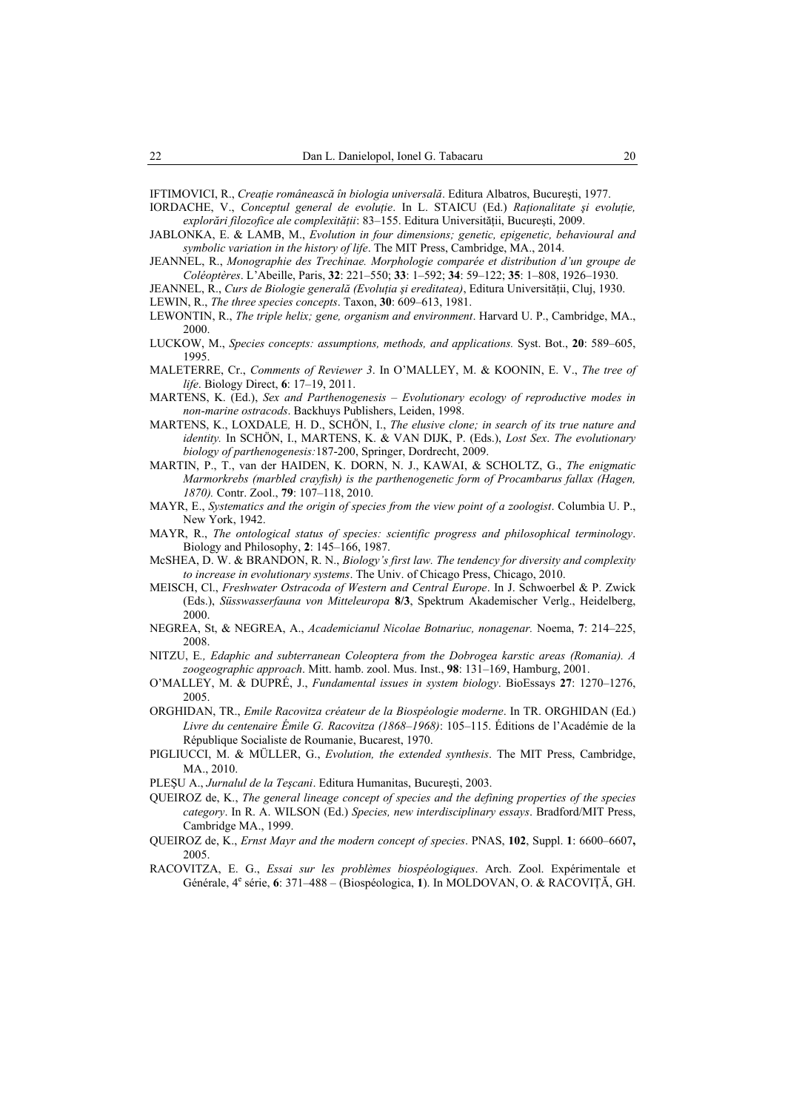IFTIMOVICI, R., *Creaţie românească în biologia universală*. Editura Albatros, Bucureşti, 1977.

- IORDACHE, V., *Conceptul general de evoluţie*. In L. STAICU (Ed.) *Raţionalitate şi evoluţie, explorări filozofice ale complexităţii*: 83–155. Editura Universităţii, Bucureşti, 2009.
- JABLONKA, E. & LAMB, M., *Evolution in four dimensions; genetic, epigenetic, behavioural and symbolic variation in the history of life*. The MIT Press, Cambridge, MA., 2014.
- JEANNEL, R., *Monographie des Trechinae. Morphologie comparée et distribution d'un groupe de Coléoptères*. L'Abeille, Paris, **32**: 221–550; **33**: 1–592; **34**: 59–122; **35**: 1–808, 1926–1930.
- JEANNEL, R., *Curs de Biologie generală (Evoluţia şi ereditatea)*, Editura Universităţii, Cluj, 1930.
- LEWIN, R., *The three species concepts*. Taxon, **30**: 609–613, 1981.
- LEWONTIN, R., *The triple helix; gene, organism and environment*. Harvard U. P., Cambridge, MA., 2000.
- LUCKOW, M., *Species concepts: assumptions, methods, and applications.* Syst. Bot., **20**: 589–605, 1995.
- MALETERRE, Cr., *Comments of Reviewer 3*. In O'MALLEY, M. & KOONIN, E. V., *The tree of life*. Biology Direct, **6**: 17–19, 2011.
- MARTENS, K. (Ed.), *Sex and Parthenogenesis Evolutionary ecology of reproductive modes in non-marine ostracods*. Backhuys Publishers, Leiden, 1998.
- MARTENS, K., LOXDALE*,* H. D., SCHÖN, I., *The elusive clone; in search of its true nature and identity.* In SCHÖN, I., MARTENS, K. & VAN DIJK, P. (Eds.), *Lost Sex*. *The evolutionary biology of parthenogenesis:*187-200, Springer, Dordrecht, 2009.
- MARTIN, P., T., van der HAIDEN, K. DORN, N. J., KAWAI, & SCHOLTZ, G., *The enigmatic Marmorkrebs (marbled crayfish) is the parthenogenetic form of Procambarus fallax (Hagen, 1870).* Contr. Zool., **79**: 107–118, 2010.
- MAYR, E., *Systematics and the origin of species from the view point of a zoologist*. Columbia U. P., New York, 1942.
- MAYR, R., *The ontological status of species: scientific progress and philosophical terminology*. Biology and Philosophy, **2**: 145–166, 1987.
- McSHEA, D. W. & BRANDON, R. N., *Biology's first law. The tendency for diversity and complexity to increase in evolutionary systems*. The Univ. of Chicago Press, Chicago, 2010.
- MEISCH, Cl., *Freshwater Ostracoda of Western and Central Europe*. In J. Schwoerbel & P. Zwick (Eds.), *Süsswasserfauna von Mitteleuropa* **8/3**, Spektrum Akademischer Verlg., Heidelberg, 2000.
- NEGREA, St, & NEGREA, A., *Academicianul Nicolae Botnariuc, nonagenar.* Noema, **7**: 214–225, 2008.
- NITZU, E*., Edaphic and subterranean Coleoptera from the Dobrogea karstic areas (Romania). A zoogeographic approach*. Mitt. hamb. zool. Mus. Inst., **98**: 131–169, Hamburg, 2001.
- O'MALLEY, M. & DUPRÉ, J., *Fundamental issues in system biology*. BioEssays **27**: 1270–1276, 2005.
- ORGHIDAN, TR., *Emile Racovitza créateur de la Biospéologie moderne*. In TR. ORGHIDAN (Ed.) *Livre du centenaire Émile G. Racovitza (1868–1968)*: 105–115. Éditions de l'Académie de la République Socialiste de Roumanie, Bucarest, 1970.
- PIGLIUCCI, M. & MÜLLER, G., *Evolution, the extended synthesis*. The MIT Press, Cambridge, MA., 2010.
- PLEŞU A., *Jurnalul de la Teşcani*. Editura Humanitas, Bucureşti, 2003.
- QUEIROZ de, K., *The general lineage concept of species and the defining properties of the species category*. In R. A. WILSON (Ed.) *Species, new interdisciplinary essays*. Bradford/MIT Press, Cambridge MA., 1999.
- QUEIROZ de, K., *Ernst Mayr and the modern concept of species*. PNAS, **102**, Suppl. **1**: 6600–6607**,**  2005.
- RACOVITZA, E. G., *Essai sur les problèmes biospéologiques*. Arch. Zool. Expérimentale et Générale, 4<sup>e</sup> série, **6**: 371–488 – (Biospéologica, **1**). In MOLDOVAN, O. & RACOVIŢĂ, GH.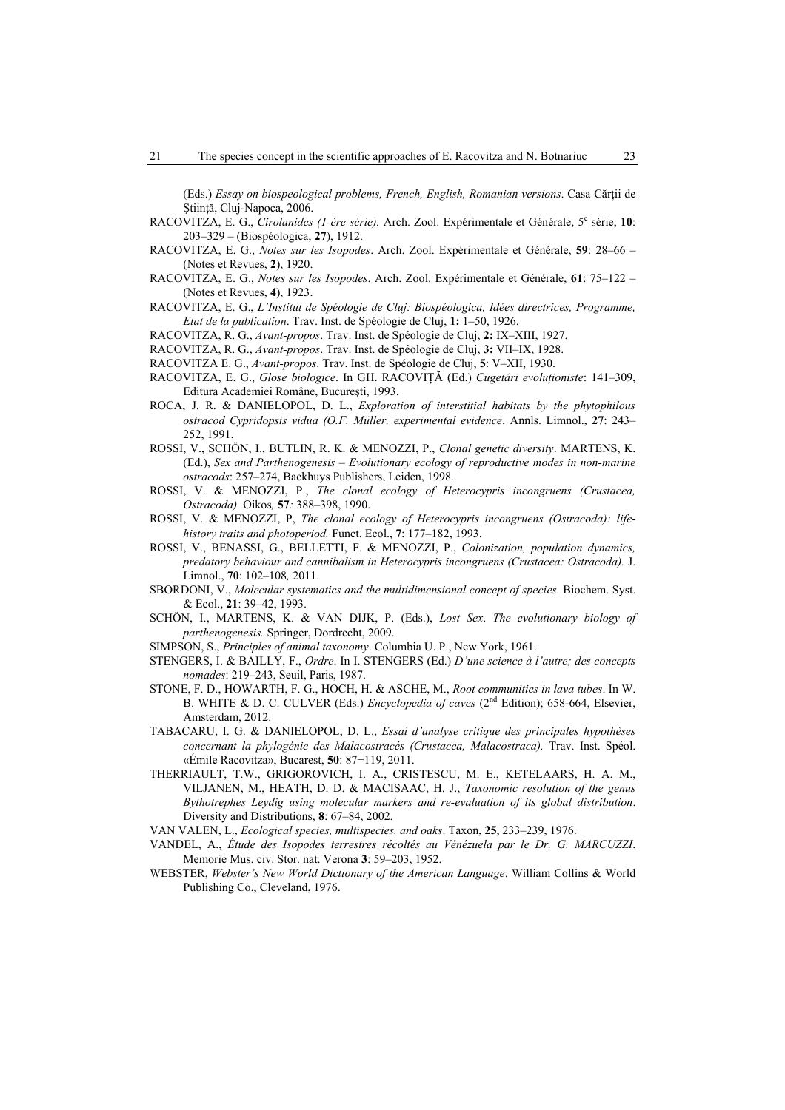(Eds.) *Essay on biospeological problems, French, English, Romanian versions*. Casa Cărţii de Ştiinţă, Cluj-Napoca, 2006.

- RACOVITZA, E. G., *Cirolanides (1-ère série)*. Arch. Zool. Expérimentale et Générale, 5<sup>e</sup> série, 10: 203–329 – (Biospéologica, **27**), 1912.
- RACOVITZA, E. G., *Notes sur les Isopodes*. Arch. Zool. Expérimentale et Générale, **59**: 28–66 (Notes et Revues, **2**), 1920.
- RACOVITZA, E. G., *Notes sur les Isopodes*. Arch. Zool. Expérimentale et Générale, **61**: 75–122 (Notes et Revues, **4**), 1923.
- RACOVITZA, E. G., *L'Institut de Spéologie de Cluj: Biospéologica, Idées directrices, Programme, Etat de la publication*. Trav. Inst. de Spéologie de Cluj, **1:** 1–50, 1926.
- RACOVITZA, R. G., *Avant-propos*. Trav. Inst. de Spéologie de Cluj, **2:** IX–XIII, 1927.
- RACOVITZA, R. G., *Avant-propos*. Trav. Inst. de Spéologie de Cluj, **3:** VII–IX, 1928.
- RACOVITZA E. G., *Avant-propos*. Trav. Inst. de Spéologie de Cluj, **5**: V–XII, 1930.
- RACOVITZA, E. G., *Glose biologice*. In GH. RACOVIŢĂ (Ed.) *Cugetări evoluţioniste*: 141–309, Editura Academiei Române, Bucureşti, 1993.
- ROCA, J. R. & DANIELOPOL, D. L., *Exploration of interstitial habitats by the phytophilous ostracod Cypridopsis vidua (O.F. Müller, experimental evidence*. Annls. Limnol., **27**: 243– 252, 1991.
- ROSSI, V., SCHÖN, I., BUTLIN, R. K. & MENOZZI, P., *Clonal genetic diversity*. MARTENS, K. (Ed.), *Sex and Parthenogenesis – Evolutionary ecology of reproductive modes in non-marine ostracods*: 257–274, Backhuys Publishers, Leiden, 1998.
- ROSSI, V. & MENOZZI, P., *The clonal ecology of Heterocypris incongruens (Crustacea, Ostracoda).* Oikos*,* **57***:* 388–398, 1990.
- ROSSI, V. & MENOZZI, P, *The clonal ecology of Heterocypris incongruens (Ostracoda): lifehistory traits and photoperiod.* Funct. Ecol., **7**: 177–182, 1993.
- ROSSI, V., BENASSI, G., BELLETTI, F. & MENOZZI, P., *Colonization, population dynamics, predatory behaviour and cannibalism in Heterocypris incongruens (Crustacea: Ostracoda).* J. Limnol., **70**: 102–108*,* 2011.
- SBORDONI, V., *Molecular systematics and the multidimensional concept of species.* Biochem. Syst. & Ecol., **21**: 39–42, 1993.
- SCHÖN, I., MARTENS, K. & VAN DIJK, P. (Eds.), *Lost Sex*. *The evolutionary biology of parthenogenesis.* Springer, Dordrecht, 2009.
- SIMPSON, S., *Principles of animal taxonomy*. Columbia U. P., New York, 1961.
- STENGERS, I. & BAILLY, F., *Ordre*. In I. STENGERS (Ed.) *D'une science à l'autre; des concepts nomades*: 219–243, Seuil, Paris, 1987.
- STONE, F. D., HOWARTH, F. G., HOCH, H. & ASCHE, M., *Root communities in lava tubes*. In W. B. WHITE & D. C. CULVER (Eds.) *Encyclopedia of caves* (2nd Edition); 658-664, Elsevier, Amsterdam, 2012.
- TABACARU, I. G. & DANIELOPOL, D. L., *Essai d'analyse critique des principales hypothèses concernant la phylogénie des Malacostracés (Crustacea, Malacostraca).* Trav. Inst. Spéol. «Émile Racovitza», Bucarest, **50**: 87−119, 2011.
- THERRIAULT, T.W., GRIGOROVICH, I. A., CRISTESCU, M. E., KETELAARS, H. A. M., VILJANEN, M., HEATH, D. D. & MACISAAC, H. J., *Taxonomic resolution of the genus Bythotrephes Leydig using molecular markers and re-evaluation of its global distribution*. Diversity and Distributions, **8**: 67–84, 2002.
- VAN VALEN, L., *Ecological species, multispecies, and oaks*. Taxon, **25**, 233–239, 1976.
- VANDEL, A., *Étude des Isopodes terrestres récoltés au Vénézuela par le Dr. G. MARCUZZI*. Memorie Mus. civ. Stor. nat. Verona **3**: 59–203, 1952.
- WEBSTER, *Webster's New World Dictionary of the American Language*. William Collins & World Publishing Co., Cleveland, 1976.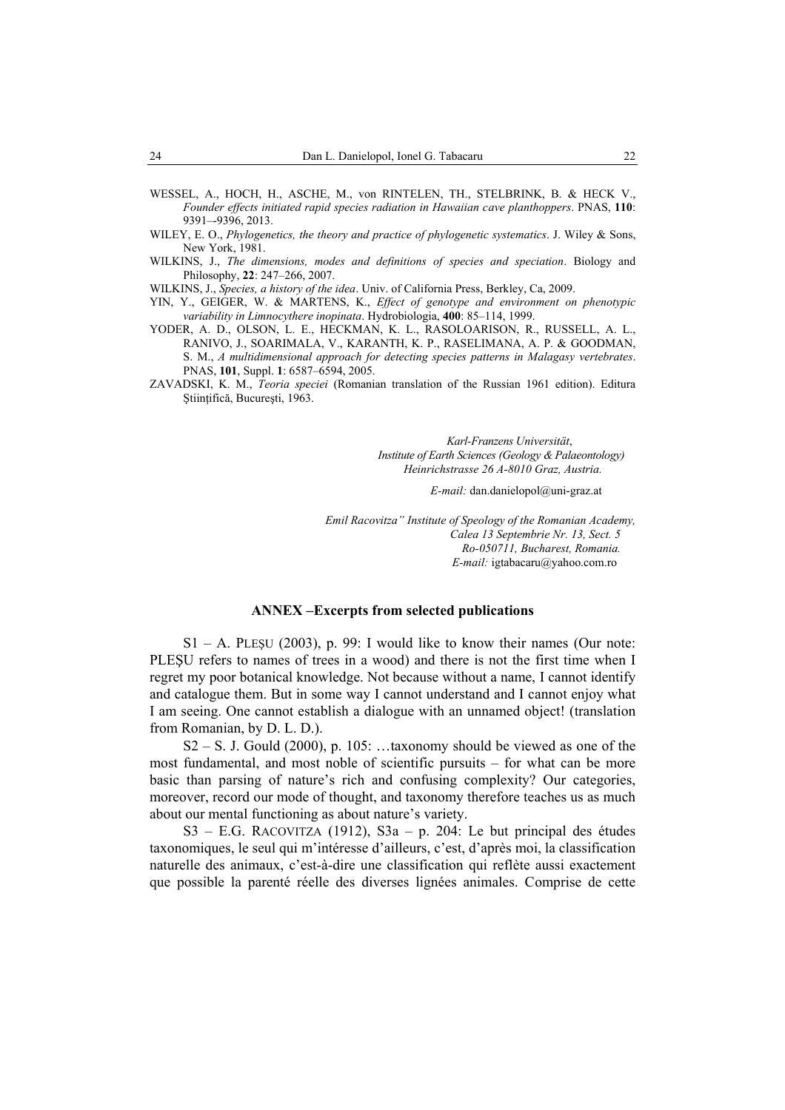- WESSEL, A., HOCH, H., ASCHE, M., von RINTELEN, TH., STELBRINK, B. & HECK V., *Founder effects initiated rapid species radiation in Hawaiian cave planthoppers*. PNAS, **110**: 9391–-9396, 2013.
- WILEY, E. O., *Phylogenetics, the theory and practice of phylogenetic systematics*. J. Wiley & Sons, New York, 1981.
- WILKINS, J., *The dimensions, modes and definitions of species and speciation*. Biology and Philosophy, **22**: 247–266, 2007.
- WILKINS, J., *Species, a history of the idea*. Univ. of California Press, Berkley, Ca, 2009.
- YIN, Y., GEIGER, W. & MARTENS, K., *Effect of genotype and environment on phenotypic variability in Limnocythere inopinata*. Hydrobiologia, **400**: 85–114, 1999.
- YODER, A. D., OLSON, L. E., HECKMAN, K. L., RASOLOARISON, R., RUSSELL, A. L., RANIVO, J., SOARIMALA, V., KARANTH, K. P., RASELIMANA, A. P. & GOODMAN, S. M., *A multidimensional approach for detecting species patterns in Malagasy vertebrates*. PNAS, **101**, Suppl. **1**: 6587–6594, 2005.
- ZAVADSKI, K. M., *Teoria speciei* (Romanian translation of the Russian 1961 edition). Editura Ştiinţifică, Bucureşti, 1963.

*Karl-Franzens Universität*,  *Institute of Earth Sciences (Geology & Palaeontology) Heinrichstrasse 26 A-8010 Graz, Austria.* 

*E-mail:* dan.danielopol@uni-graz.at

*Emil Racovitza" Institute of Speology of the Romanian Academy, Calea 13 Septembrie Nr. 13, Sect. 5 Ro-050711, Bucharest, Romania. E-mail:* igtabacaru@yahoo.com.ro

#### **ANNEX –Excerpts from selected publications**

 $S1 - A$ . PLESU (2003), p. 99: I would like to know their names (Our note: PLEŞU refers to names of trees in a wood) and there is not the first time when I regret my poor botanical knowledge. Not because without a name, I cannot identify and catalogue them. But in some way I cannot understand and I cannot enjoy what I am seeing. One cannot establish a dialogue with an unnamed object! (translation from Romanian, by D. L. D.).

 $S2 - S$ . J. Gould (2000), p. 105: ...taxonomy should be viewed as one of the most fundamental, and most noble of scientific pursuits – for what can be more basic than parsing of nature's rich and confusing complexity? Our categories, moreover, record our mode of thought, and taxonomy therefore teaches us as much about our mental functioning as about nature's variety.

S3 – E.G. RACOVITZA (1912), S3a – p. 204: Le but principal des études taxonomiques, le seul qui m'intéresse d'ailleurs, c'est, d'après moi, la classification naturelle des animaux, c'est-à-dire une classification qui reflète aussi exactement que possible la parenté réelle des diverses lignées animales. Comprise de cette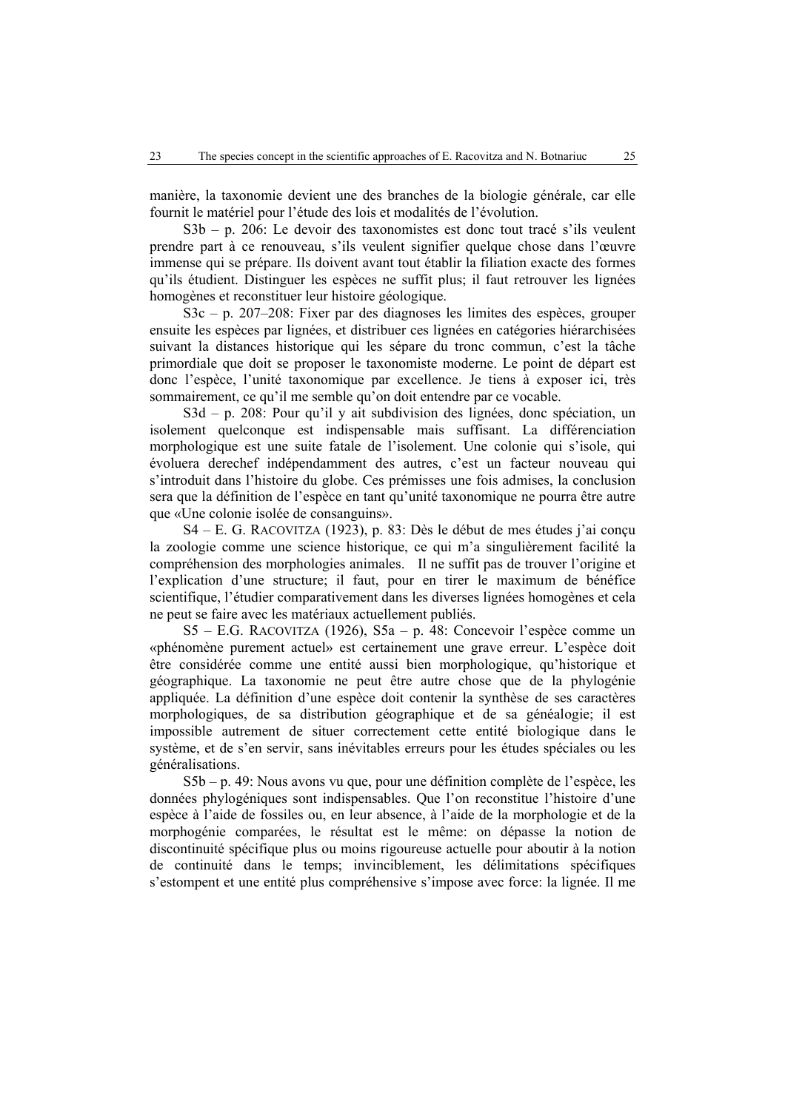manière, la taxonomie devient une des branches de la biologie générale, car elle fournit le matériel pour l'étude des lois et modalités de l'évolution.

S3b – p. 206: Le devoir des taxonomistes est donc tout tracé s'ils veulent prendre part à ce renouveau, s'ils veulent signifier quelque chose dans l'œuvre immense qui se prépare. Ils doivent avant tout établir la filiation exacte des formes qu'ils étudient. Distinguer les espèces ne suffit plus; il faut retrouver les lignées homogènes et reconstituer leur histoire géologique.

S3c – p. 207–208: Fixer par des diagnoses les limites des espèces, grouper ensuite les espèces par lignées, et distribuer ces lignées en catégories hiérarchisées suivant la distances historique qui les sépare du tronc commun, c'est la tâche primordiale que doit se proposer le taxonomiste moderne. Le point de départ est donc l'espèce, l'unité taxonomique par excellence. Je tiens à exposer ici, très sommairement, ce qu'il me semble qu'on doit entendre par ce vocable.

S3d – p. 208: Pour qu'il y ait subdivision des lignées, donc spéciation, un isolement quelconque est indispensable mais suffisant. La différenciation morphologique est une suite fatale de l'isolement. Une colonie qui s'isole, qui évoluera derechef indépendamment des autres, c'est un facteur nouveau qui s'introduit dans l'histoire du globe. Ces prémisses une fois admises, la conclusion sera que la définition de l'espèce en tant qu'unité taxonomique ne pourra être autre que «Une colonie isolée de consanguins».

S4 – E. G. RACOVITZA (1923), p. 83: Dès le début de mes études j'ai conçu la zoologie comme une science historique, ce qui m'a singulièrement facilité la compréhension des morphologies animales. Il ne suffit pas de trouver l'origine et l'explication d'une structure; il faut, pour en tirer le maximum de bénéfice scientifique, l'étudier comparativement dans les diverses lignées homogènes et cela ne peut se faire avec les matériaux actuellement publiés.

S5 – E.G. RACOVITZA (1926), S5a – p. 48: Concevoir l'espèce comme un «phénomène purement actuel» est certainement une grave erreur. L'espèce doit être considérée comme une entité aussi bien morphologique, qu'historique et géographique. La taxonomie ne peut être autre chose que de la phylogénie appliquée. La définition d'une espèce doit contenir la synthèse de ses caractères morphologiques, de sa distribution géographique et de sa généalogie; il est impossible autrement de situer correctement cette entité biologique dans le système, et de s'en servir, sans inévitables erreurs pour les études spéciales ou les généralisations.

S5b – p. 49: Nous avons vu que, pour une définition complète de l'espèce, les données phylogéniques sont indispensables. Que l'on reconstitue l'histoire d'une espèce à l'aide de fossiles ou, en leur absence, à l'aide de la morphologie et de la morphogénie comparées, le résultat est le même: on dépasse la notion de discontinuité spécifique plus ou moins rigoureuse actuelle pour aboutir à la notion de continuité dans le temps; invinciblement, les délimitations spécifiques s'estompent et une entité plus compréhensive s'impose avec force: la lignée. Il me